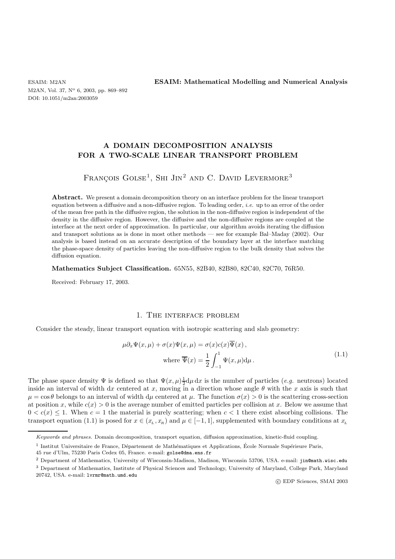M2AN, Vol. 37, N° 6, 2003, pp. 869–892 DOI: 10.1051/m2an:2003059

ESAIM: M2AN **ESAIM: Mathematical Modelling and Numerical Analysis**

## **A DOMAIN DECOMPOSITION ANALYSIS FOR A TWO-SCALE LINEAR TRANSPORT PROBLEM**

# FRANÇOIS GOLSE<sup>1</sup>, SHI JIN<sup>2</sup> AND C. DAVID LEVERMORE<sup>3</sup>

Abstract. We present a domain decomposition theory on an interface problem for the linear transport equation between a diffusive and a non-diffusive region. To leading order, *i.e.* up to an error of the order of the mean free path in the diffusive region, the solution in the non-diffusive region is independent of the density in the diffusive region. However, the diffusive and the non-diffusive regions are coupled at the interface at the next order of approximation. In particular, our algorithm avoids iterating the diffusion and transport solutions as is done in most other methods — see for example Bal–Maday (2002). Our analysis is based instead on an accurate description of the boundary layer at the interface matching the phase-space density of particles leaving the non-diffusive region to the bulk density that solves the diffusion equation.

**Mathematics Subject Classification.** 65N55, 82B40, 82B80, 82C40, 82C70, 76R50.

Received: February 17, 2003.

### 1. The interface problem

Consider the steady, linear transport equation with isotropic scattering and slab geometry:

$$
\mu \partial_x \Psi(x,\mu) + \sigma(x)\Psi(x,\mu) = \sigma(x)c(x)\overline{\Psi}(x),
$$
  
where  $\overline{\Psi}(x) = \frac{1}{2} \int_{-1}^1 \Psi(x,\mu) d\mu$ . (1.1)

The phase space density  $\Psi$  is defined so that  $\Psi(x,\mu) \frac{1}{2} d\mu dx$  is the number of particles (*e.g.* neutrons) located<br>inside an interval of width dx centered at x moving in a direction whose angle  $\theta$  with the x axis inside an interval of width dx centered at x, moving in a direction whose angle  $\theta$  with the x axis is such that  $\mu = \cos \theta$  belongs to an interval of width d $\mu$  centered at  $\mu$ . The function  $\sigma(x) > 0$  is the scattering cross-section at position x, while  $c(x) > 0$  is the average number of emitted particles per collision at x. Below we assume that  $0 < c(x) \leq 1$ . When  $c = 1$  the material is purely scattering; when  $c < 1$  there exist absorbing collisions. The transport equation (1.1) is posed for  $x \in (x_L, x_R)$  and  $\mu \in [-1, 1]$ , supplemented with boundary conditions at  $x_L$ 

45 rue d'Ulm, 75230 Paris Cedex 05, France. e-mail: golse@dma.ens.fr

Keywords and phrases. Domain decomposition, transport equation, diffusion approximation, kinetic-fluid coupling.

 $1$  Institut Universitaire de France, Département de Mathématiques et Applications, École Normale Supérieure Paris,

<sup>2</sup> Department of Mathematics, University of Wisconsin-Madison, Madison, Wisconsin 53706, USA. e-mail: jin@math.wisc.edu <sup>3</sup> Department of Mathematics, Institute of Physical Sciences and Technology, University of Maryland, College Park, Maryland 20742, USA. e-mail: lvrmr@math.umd.edu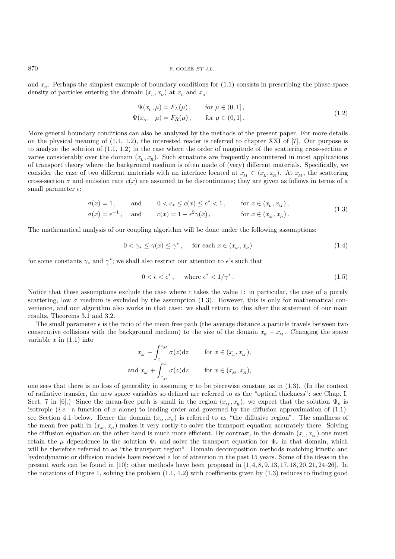$870$  F. GOLSE *ET AL.* 

and  $x_R$ . Perhaps the simplest example of boundary conditions for (1.1) consists in prescribing the phase-space density of particles entering the domain  $(x_L, x_R)$  at  $x_L$  and  $x_R$ :

$$
\Psi(x_L, \mu) = F_L(\mu), \quad \text{for } \mu \in (0, 1], \n\Psi(x_R, -\mu) = F_R(\mu), \quad \text{for } \mu \in (0, 1].
$$
\n(1.2)

More general boundary conditions can also be analyzed by the methods of the present paper. For more details on the physical meaning of (1.1, 1.2), the interested reader is referred to chapter XXI of [7]. Our purpose is to analyze the solution of  $(1.1, 1.2)$  in the case where the order of magnitude of the scattering cross-section  $\sigma$ varies considerably over the domain  $(x_L, x_R)$ . Such situations are frequently encountered in most applications of transport theory where the background medium is often made of (very) different materials. Specifically, we consider the case of two different materials with an interface located at  $x_M \in (x_L, x_R)$ . At  $x_M$ , the scattering cross-section  $\sigma$  and emission rate  $c(x)$  are assumed to be discontinuous; they are given as follows in terms of a small parameter  $\epsilon$ :

$$
\sigma(x) = 1, \quad \text{and} \quad 0 < c_* \le c(x) \le c^* < 1, \quad \text{for } x \in (x_L, x_M),
$$
\n
$$
\sigma(x) = \frac{-1}{\sigma(x)} \quad \text{and} \quad \sigma(x) = \frac{1}{\sigma(x)} \quad \frac{2}{\sigma(x)} \quad \text{for } x \in (x_L, x_M) \tag{1.3}
$$

$$
\sigma(x) = \epsilon^{-1}, \quad \text{and} \quad c(x) = 1 - \epsilon^2 \gamma(x), \quad \text{for } x \in (x_M, x_R). \tag{1.3}
$$

The mathematical analysis of our coupling algorithm will be done under the following assumptions:

$$
0 < \gamma_* \le \gamma(x) \le \gamma^*, \quad \text{for each } x \in (x_M, x_R) \tag{1.4}
$$

for some constants  $\gamma_*$  and  $\gamma^*$ ; we shall also restrict our attention to  $\epsilon$ 's such that

$$
0 < \epsilon < \epsilon^*, \quad \text{where } \epsilon^* < 1/\gamma^* \,. \tag{1.5}
$$

Notice that these assumptions exclude the case where c takes the value 1: in particular, the case of a purely scattering, low  $\sigma$  medium is excluded by the assumption (1.3). However, this is only for mathematical convenience, and our algorithm also works in that case: we shall return to this after the statement of our main results, Theorems 3.1 and 3.2.

The small parameter  $\epsilon$  is the ratio of the mean free path (the average distance a particle travels between two consecutive collisions with the background medium) to the size of the domain  $x_R - x_M$ . Changing the space variable  $x$  in  $(1.1)$  into

$$
x_M - \int_x^{x_M} \sigma(z) dz \quad \text{for } x \in (x_L, x_M),
$$
  
and 
$$
x_M + \int_{x_M}^x \sigma(z) dz \quad \text{for } x \in (x_M, x_R),
$$

one sees that there is no loss of generality in assuming  $\sigma$  to be piecewise constant as in (1.3). (In the context of radiative transfer, the new space variables so defined are referred to as the "optical thickness": see Chap. I, Sect. 7 in [6].) Since the mean-free path is small in the region  $(x_M, x_R)$ , we expect that the solution  $\Psi_{\epsilon}$  is isotropic (*i.e.* a function of x alone) to leading order and governed by the diffusion approximation of  $(1.1)$ : see Section 4.1 below. Hence the domain  $(x_M, x_R)$  is referred to as "the diffusive region". The smallness of the mean free path in  $(x_M, x_R)$  makes it very costly to solve the transport equation accurately there. Solving the diffusion equation on the other hand is much more efficient. By contrast, in the domain  $(x, x_M)$  one must retain the  $\mu$  dependence in the solution  $\Psi_{\epsilon}$  and solve the transport equation for  $\Psi_{\epsilon}$  in that domain, which will be therefore referred to as "the transport region". Domain decomposition methods matching kinetic and hydrodynamic or diffusion models have received a lot of attention in the past 15 years. Some of the ideas in the present work can be found in [10]; other methods have been proposed in [1, 4, 8, 9, 13, 17, 18, 20, 21, 24–26]. In the notations of Figure 1, solving the problem  $(1.1, 1.2)$  with coefficients given by  $(1.3)$  reduces to finding good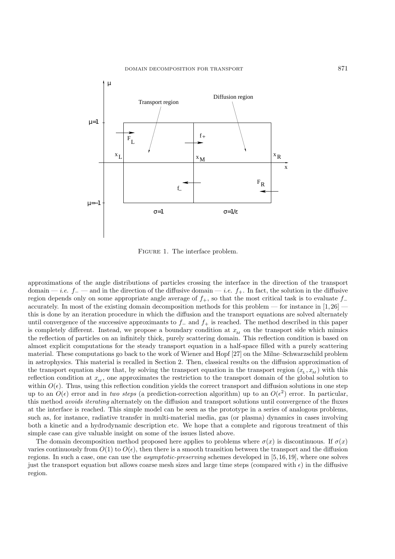

Figure 1. The interface problem.

approximations of the angle distributions of particles crossing the interface in the direction of the transport domain — *i.e.*  $f_$  — and in the direction of the diffusive domain — *i.e.*  $f_+$ . In fact, the solution in the diffusive region depends only on some appropriate angle average of  $f_+$ , so that the most critical task is to evaluate  $f_$ accurately. In most of the existing domain decomposition methods for this problem — for instance in  $[1,26]$  this is done by an iteration procedure in which the diffusion and the transport equations are solved alternately until convergence of the successive approximants to  $f_-\$  and  $f_+\$  is reached. The method described in this paper is completely different. Instead, we propose a boundary condition at  $x_M$  on the transport side which mimics the reflection of particles on an infinitely thick, purely scattering domain. This reflection condition is based on almost explicit computations for the steady transport equation in a half-space filled with a purely scattering material. These computations go back to the work of Wiener and Hopf [27] on the Milne–Schwarzschild problem in astrophysics. This material is recalled in Section 2. Then, classical results on the diffusion approximation of the transport equation show that, by solving the transport equation in the transport region  $(x_L, x_M)$  with this reflection condition at  $x_M$ , one approximates the restriction to the transport domain of the global solution to within  $O(\epsilon)$ . Thus, using this reflection condition yields the correct transport and diffusion solutions in one step up to an  $O(\epsilon)$  error and in *two steps* (a prediction-correction algorithm) up to an  $O(\epsilon^2)$  error. In particular, this method *avoids iterating* alternately on the diffusion and transport solutions until convergence of the fluxes at the interface is reached. This simple model can be seen as the prototype in a series of analogous problems, such as, for instance, radiative transfer in multi-material media, gas (or plasma) dynamics in cases involving both a kinetic and a hydrodynamic description etc. We hope that a complete and rigorous treatment of this simple case can give valuable insight on some of the issues listed above.

The domain decomposition method proposed here applies to problems where  $\sigma(x)$  is discontinuous. If  $\sigma(x)$ varies continuously from  $O(1)$  to  $O(\epsilon)$ , then there is a smooth transition between the transport and the diffusion regions. In such a case, one can use the *asymptotic-preserving* schemes developed in [5, 16, 19], where one solves just the transport equation but allows coarse mesh sizes and large time steps (compared with  $\epsilon$ ) in the diffusive region.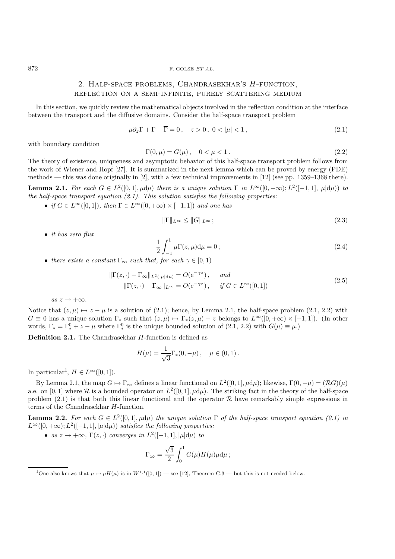## 2. Half-space problems, Chandrasekhar's H-function, reflection on a semi-infinite, purely scattering medium

In this section, we quickly review the mathematical objects involved in the reflection condition at the interface between the transport and the diffusive domains. Consider the half-space transport problem

$$
\mu \partial_z \Gamma + \Gamma - \overline{\Gamma} = 0, \quad z > 0, \quad 0 < |\mu| < 1,
$$
\n
$$
(2.1)
$$

with boundary condition

$$
\Gamma(0,\mu) = G(\mu), \quad 0 < \mu < 1. \tag{2.2}
$$

 $\Gamma(0, \mu) = G(\mu), \quad 0 < \mu < 1$ . (2.2)<br>The theory of existence, uniqueness and asymptotic behavior of this half-space transport problem follows from the work of Wiener and Hopf [27]. It is summarized in the next lemma which can be proved by energy (PDE) methods — this was done originally in [2], with a few technical improvements in [12] (see pp. 1359–1368 there). **Lemma 2.1.** *For each*  $G \in L^2([0,1], \mu d\mu)$  *there is a unique solution*  $\Gamma$  *in*  $L^{\infty}([0,+\infty);L^2([-1,1], \mu d\mu)$  *to the half-space transport equation (2.1). This solution satisfies the following properties:*

• *if*  $G \in L^{\infty}([0,1])$ *, then*  $\Gamma \in L^{\infty}([0,+\infty) \times [-1,1])$  *and one has* 

$$
\|\Gamma\|_{L^{\infty}} \le \|G\|_{L^{\infty}} ;\tag{2.3}
$$

• *it has zero flux*

$$
\frac{1}{2} \int_{-1}^{1} \mu \Gamma(z, \mu) d\mu = 0 ; \qquad (2.4)
$$

• there exists a constant  $\Gamma_{\infty}$  such that, for each  $\gamma \in [0,1)$ 

$$
\|\Gamma(z,\cdot) - \Gamma_{\infty}\|_{L^2(|\mu|d\mu)} = O(e^{-\gamma z}), \quad \text{and}
$$
  

$$
\|\Gamma(z,\cdot) - \Gamma_{\infty}\|_{L^{\infty}} = O(e^{-\gamma z}), \quad \text{if } G \in L^{\infty}([0,1])
$$
 (2.5)

 $as z \rightarrow +\infty$ *.* 

Notice that  $(z, \mu) \mapsto z - \mu$  is a solution of (2.1); hence, by Lemma 2.1, the half-space problem (2.1, 2.2) with  $G \equiv 0$  has a unique solution  $\Gamma_*$  such that  $(z,\mu) \mapsto \Gamma_*(z,\mu) - z$  belongs to  $L^{\infty}([0,+\infty) \times [-1,1])$ . (In other words,  $\Gamma_* = \Gamma_*^0 + z - \mu$  where  $\Gamma_*^0$  is the unique bounded solution of  $(2.1, 2.2)$  with  $G(\mu) \equiv \mu$ .)

**Definition 2.1.** The Chandrasekhar H-function is defined as

$$
H(\mu) = \frac{1}{\sqrt{3}} \Gamma_*(0, -\mu) , \quad \mu \in (0, 1) .
$$

In particular<sup>1</sup>,  $H \in L^{\infty}([0,1])$ .

By Lemma 2.1, the map  $G \mapsto \Gamma_{\infty}$  defines a linear functional on  $L^2([0, 1], \mu d\mu)$ ; likewise,  $\Gamma(0, -\mu) = (RG)(\mu)$ a.e. on [0, 1] where  $R$  is a bounded operator on  $L^2([0,1], \mu d\mu)$ . The striking fact in the theory of the half-space problem  $(2.1)$  is that both this linear functional and the operator R have remarkably simple expressions in terms of the Chandrasekhar H-function.

**Lemma 2.2.** *For each*  $G \in L^2([0,1], \mu d\mu)$  *the unique solution*  $\Gamma$  *of the half-space transport equation (2.1) in*  $L^{\infty}([0, +\infty); L^2([-1, 1], |\mu| d\mu)$  *satisfies the following properties:* 

• *as*  $z \rightarrow +\infty$ ,  $\Gamma(z, \cdot)$  *converges in*  $L^2([-1, 1], |\mu|d\mu)$  *to* 

$$
\Gamma_{\infty} = \frac{\sqrt{3}}{2} \int_0^1 G(\mu) H(\mu) \mu \mathrm{d}\mu \, ;
$$

<sup>1</sup>One also knows that  $\mu \mapsto \mu H(\mu)$  is in  $W^{1,1}([0,1])$  — see [12], Theorem C.3 — but this is not needed below.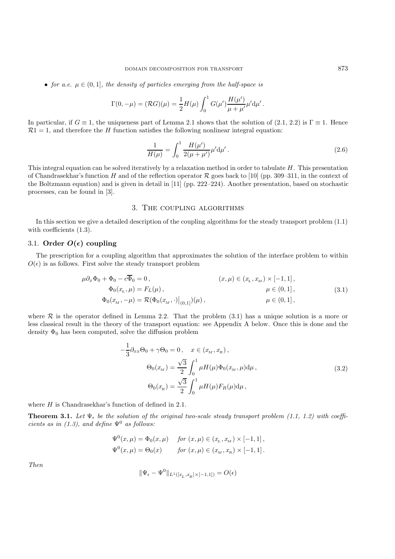• *for a.e.*  $\mu \in (0,1]$ *, the density of particles emerging from the half-space is* 

$$
\Gamma(0, -\mu) = (\mathcal{R}G)(\mu) = \frac{1}{2}H(\mu)\int_0^1 G(\mu')\frac{H(\mu')}{\mu + \mu'}\mu' d\mu'.
$$

In particular, if  $G \equiv 1$ , the uniqueness part of Lemma 2.1 shows that the solution of (2.1, 2.2) is  $\Gamma \equiv 1$ . Hence  $\mathcal{R}1 = 1$ , and therefore the H function satisfies the following nonlinear integral equation:

$$
\frac{1}{H(\mu)} = \int_0^1 \frac{H(\mu')}{2(\mu + \mu')} \mu' d\mu'.
$$
\n(2.6)

This integral equation can be solved iteratively by a relaxation method in order to tabulate  $H$ . This presentation of Chandrasekhar's function H and of the reflection operator R goes back to [10] (pp. 309–311, in the context of the Boltzmann equation) and is given in detail in [11] (pp. 222–224). Another presentation, based on stochastic processes, can be found in [3].

### 3. The coupling algorithms

In this section we give a detailed description of the coupling algorithms for the steady transport problem (1.1) with coefficients  $(1.3)$ .

### 3.1. Order  $O(\epsilon)$  coupling

The prescription for a coupling algorithm that approximates the solution of the interface problem to within  $O(\epsilon)$  is as follows. First solve the steady transport problem

$$
\mu \partial_x \Phi_0 + \Phi_0 - c \overline{\Phi}_0 = 0, \qquad (x, \mu) \in (x, x_M) \times [-1, 1],
$$
  
\n
$$
\Phi_0(x_L, \mu) = F_L(\mu), \qquad \mu \in (0, 1],
$$
  
\n
$$
\Phi_0(x_M, -\mu) = \mathcal{R}(\Phi_0(x_M, \cdot)|_{(0, 1]})(\mu), \qquad \mu \in (0, 1],
$$
  
\n(3.1)

where  $\mathcal R$  is the operator defined in Lemma 2.2. That the problem (3.1) has a unique solution is a more or less classical result in the theory of the transport equation: see Appendix A below. Once this is done and the density  $\Phi_0$  has been computed, solve the diffusion problem

$$
-\frac{1}{3}\partial_{xx}\Theta_0 + \gamma \Theta_0 = 0, \quad x \in (x_M, x_R),
$$

$$
\Theta_0(x_M) = \frac{\sqrt{3}}{2} \int_0^1 \mu H(\mu)\Phi_0(x_M, \mu) d\mu,
$$

$$
\Theta_0(x_R) = \frac{\sqrt{3}}{2} \int_0^1 \mu H(\mu) F_R(\mu) d\mu,
$$
\n(3.2)

where H is Chandrasekhar's function of defined in 2.1.

**Theorem 3.1.** Let  $\Psi_{\epsilon}$  be the solution of the original two-scale steady transport problem (1.1, 1.2) with coeffi*cients as in (1.3), and define*  $\Psi^0$  *as follows:* 

$$
\Psi^{0}(x,\mu) = \Phi_{0}(x,\mu) \quad \text{ for } (x,\mu) \in (x_{L},x_{M}) \times [-1,1],
$$
  

$$
\Psi^{0}(x,\mu) = \Theta_{0}(x) \quad \text{ for } (x,\mu) \in (x_{M},x_{R}) \times [-1,1].
$$

*Then*

$$
\|\Psi_\epsilon-\Psi^0\|_{L^1([x_L,x_R]\times[-1,1])}=O(\epsilon)
$$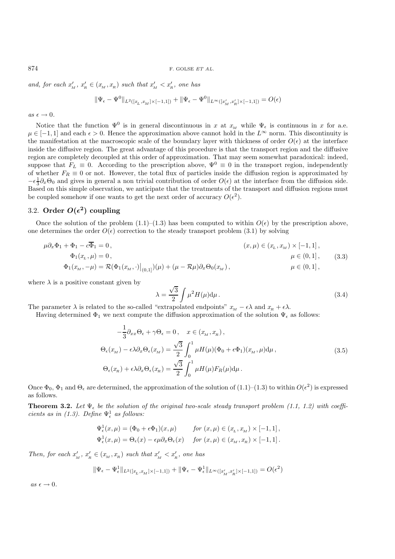and, for each  $x'_M$ ,  $x'_R \in (x_M, x_R)$  such that  $x'_M < x'_R$ , one has

$$
\|\Psi_{\epsilon}-\Psi^0\|_{L^2([x_L,x_M]\times[-1,1])}+\|\Psi_{\epsilon}-\Psi^0\|_{L^{\infty}([x'_M,x'_R]\times[-1,1])}=O(\epsilon)
$$

 $as \epsilon \rightarrow 0$ .

Notice that the function  $\Psi^0$  is in general discontinuous in x at  $x_M$  while  $\Psi_{\epsilon}$  is continuous in x for a.e.  $\mu \in [-1, 1]$  and each  $\epsilon > 0$ . Hence the approximation above cannot hold in the  $L^{\infty}$  norm. This discontinuity is the manifestation at the macroscopic scale of the boundary layer with thickness of order  $O(\epsilon)$  at the interface inside the diffusive region. The great advantage of this procedure is that the transport region and the diffusive region are completely decoupled at this order of approximation. That may seem somewhat paradoxical: indeed, suppose that  $F_L \equiv 0$ . According to the prescription above,  $\Psi^0 \equiv 0$  in the transport region, independently of whether  $F_R \equiv 0$  or not. However, the total flux of particles inside the diffusion region is approximated by  $\epsilon^{-1} \partial \Theta_0$  and gives in general a non-trivial contribution of order  $O(\epsilon)$  at the interface from the diffu  $-\epsilon \frac{1}{3} \partial_x \Theta_0$  and gives in general a non trivial contribution of order  $O(\epsilon)$  at the interface from the diffusion side.<br>Based on this simple observation, we anticipate that the transmets of the transport and diffusio Based on this simple observation, we anticipate that the treatments of the transport and diffusion regions must be coupled somehow if one wants to get the next order of accuracy  $O(\epsilon^2)$ .

# 3.2. **Order**  $O(\epsilon^2)$  coupling

Once the solution of the problem  $(1.1)$ – $(1.3)$  has been computed to within  $O(\epsilon)$  by the prescription above, one determines the order  $O(\epsilon)$  correction to the steady transport problem (3.1) by solving

$$
\mu \partial_x \Phi_1 + \Phi_1 - c \overline{\Phi}_1 = 0, \qquad (x, \mu) \in (x_x, x_M) \times [-1, 1],
$$
  
\n
$$
\Phi_1(x_L, \mu) = 0, \qquad \mu \in (0, 1], \qquad (3.3)
$$
  
\n
$$
\Phi_1(x_M, -\mu) = \mathcal{R}(\Phi_1(x_M, \cdot)|_{(0,1]})(\mu) + (\mu - \mathcal{R}\mu)\partial_x \Theta_0(x_M), \qquad \mu \in (0, 1], \qquad (3.3)
$$

where  $\lambda$  is a positive constant given by

$$
\lambda = \frac{\sqrt{3}}{2} \int \mu^2 H(\mu) d\mu.
$$
\n(3.4)

The parameter  $\lambda$  is related to the so-called "extrapolated endpoints"  $x_M - \epsilon \lambda$  and  $x_R + \epsilon \lambda$ .

Having determined  $\Phi_1$  we next compute the diffusion approximation of the solution  $\Psi_{\epsilon}$  as follows:

$$
-\frac{1}{3}\partial_{xx}\Theta_{\epsilon} + \gamma\Theta_{\epsilon} = 0, \quad x \in (x_M, x_R),
$$
  

$$
\Theta_{\epsilon}(x_M) - \epsilon\lambda\partial_x\Theta_{\epsilon}(x_M) = \frac{\sqrt{3}}{2} \int_0^1 \mu H(\mu)(\Phi_0 + \epsilon\Phi_1)(x_M, \mu)d\mu,
$$
  

$$
\Theta_{\epsilon}(x_R) + \epsilon\lambda\partial_x\Theta_{\epsilon}(x_R) = \frac{\sqrt{3}}{2} \int_0^1 \mu H(\mu)F_R(\mu)d\mu.
$$
 (3.5)

Once  $\Phi_0$ ,  $\Phi_1$  and  $\Theta_\epsilon$  are determined, the approximation of the solution of (1.1)–(1.3) to within  $O(\epsilon^2)$  is expressed as follows.

**Theorem 3.2.** Let  $\Psi_{\epsilon}$  be the solution of the original two-scale steady transport problem (1.1, 1.2) with coeffi*cients as in (1.3).* Define  $\Psi_{\epsilon}^1$  as follows:

$$
\Psi_{\epsilon}^{1}(x,\mu) = (\Phi_{0} + \epsilon \Phi_{1})(x,\mu) \quad \text{for } (x,\mu) \in (x_{L},x_{M}) \times [-1,1],
$$
  

$$
\Psi_{\epsilon}^{1}(x,\mu) = \Theta_{\epsilon}(x) - \epsilon \mu \partial_{x} \Theta_{\epsilon}(x) \quad \text{for } (x,\mu) \in (x_{M},x_{R}) \times [-1,1].
$$

*Then, for each*  $x'_M$ ,  $x'_R \in (x_M, x_R)$  *such that*  $x'_M < x'_R$ , *one has* 

$$
\|\Psi_\epsilon-\Psi^1_\epsilon\|_{L^2([x_L,x_M]\times[-1,1])}+\|\Psi_\epsilon-\Psi^1_\epsilon\|_{L^\infty([x'_M,x'_R]\times[-1,1])}=O(\epsilon^2)
$$

 $as \epsilon \rightarrow 0$ .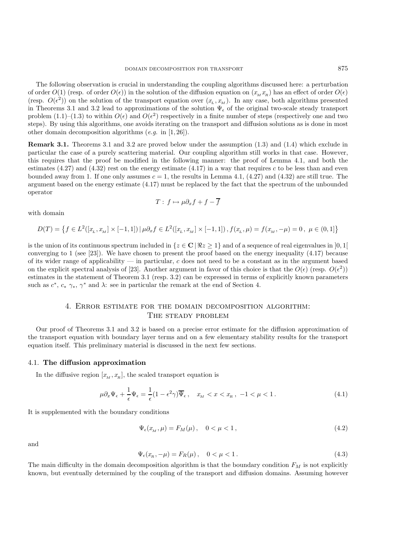The following observation is crucial in understanding the coupling algorithms discussed here: a perturbation of order  $O(1)$  (resp. of order  $O(\epsilon)$ ) in the solution of the diffusion equation on  $(x_M x_R)$  has an effect of order  $O(\epsilon)$ (resp.  $O(\epsilon^2)$ ) on the solution of the transport equation over  $(x_L, x_M)$ . In any case, both algorithms presented in Theorems 3.1 and 3.2 lead to approximations of the solution  $\Psi_{\epsilon}$  of the original two-scale steady transport problem (1.1)–(1.3) to within  $O(\epsilon)$  and  $O(\epsilon^2)$  respectively in a finite number of steps (respectively one and two steps). By using this algorithms, one avoids iterating on the transport and diffusion solutions as is done in most other domain decomposition algorithms (*e.g.* in [1, 26]).

**Remark 3.1.** Theorems 3.1 and 3.2 are proved below under the assumption (1.3) and (1.4) which exclude in particular the case of a purely scattering material. Our coupling algorithm still works in that case. However, this requires that the proof be modified in the following manner: the proof of Lemma 4.1, and both the estimates (4.27) and (4.32) rest on the energy estimate (4.17) in a way that requires c to be less than and even bounded away from 1. If one only assumes  $c = 1$ , the results in Lemma 4.1, (4.27) and (4.32) are still true. The argument based on the energy estimate (4.17) must be replaced by the fact that the spectrum of the unbounded operator

$$
T: f \mapsto \mu \partial_x f + f - \overline{f}
$$

with domain

$$
D(T) = \left\{ f \in L^2([x_L, x_M] \times [-1, 1]) \mid \mu \partial_x f \in L^2([x_L, x_M] \times [-1, 1]) , f(x_L, \mu) = f(x_M, -\mu) = 0 , \mu \in (0, 1] \right\}
$$

is the union of its continuous spectrum included in  $\{z \in \mathbb{C} \mid \Re z \geq 1\}$  and of a sequence of real eigenvalues in [0, 1] converging to 1 (see [23]). We have chosen to present the proof based on the energy inequality (4.17) because of its wider range of applicability — in particular,  $c$  does not need to be a constant as in the argument based on the explicit spectral analysis of [23]. Another argument in favor of this choice is that the  $O(\epsilon)$  (resp.  $O(\epsilon^2)$ ) estimates in the statement of Theorem 3.1 (resp. 3.2) can be expressed in terms of explicitly known parameters such as  $c^*$ ,  $c_* \gamma_*$ ,  $\gamma^*$  and  $\lambda$ : see in particular the remark at the end of Section 4.

## 4. Error estimate for the domain decomposition algorithm: The steady problem

Our proof of Theorems 3.1 and 3.2 is based on a precise error estimate for the diffusion approximation of the transport equation with boundary layer terms and on a few elementary stability results for the transport equation itself. This preliminary material is discussed in the next few sections.

#### 4.1. **The diffusion approximation**

In the diffusive region  $[x_M, x_R]$ , the scaled transport equation is

$$
\mu \partial_x \Psi_{\epsilon} + \frac{1}{\epsilon} \Psi_{\epsilon} = \frac{1}{\epsilon} (1 - \epsilon^2 \gamma) \overline{\Psi}_{\epsilon} , \quad x_M < x < x_R \,, \ -1 < \mu < 1 \,. \tag{4.1}
$$

It is supplemented with the boundary conditions

$$
\Psi_{\epsilon}(x_M, \mu) = F_M(\mu), \quad 0 < \mu < 1,
$$
\n(4.2)

and

$$
\Psi_{\epsilon}(x_R, -\mu) = F_R(\mu), \quad 0 < \mu < 1. \tag{4.3}
$$

The main difficulty in the domain decomposition algorithm is that the boundary condition  $F_M$  is not explicitly known, but eventually determined by the coupling of the transport and diffusion domains. Assuming however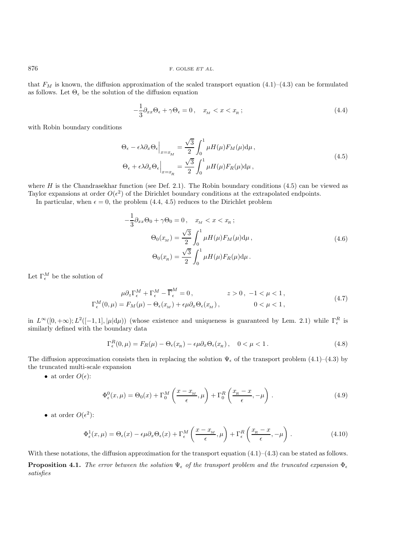876 F. GOLSE  $ETAL$ .

that  $F_M$  is known, the diffusion approximation of the scaled transport equation (4.1)–(4.3) can be formulated as follows. Let  $\Theta_{\epsilon}$  be the solution of the diffusion equation

$$
-\frac{1}{3}\partial_{xx}\Theta_{\epsilon} + \gamma\Theta_{\epsilon} = 0, \quad x_M < x < x_R \tag{4.4}
$$

with Robin boundary conditions

$$
\Theta_{\epsilon} - \epsilon \lambda \partial_x \Theta_{\epsilon} \Big|_{x = x_M} = \frac{\sqrt{3}}{2} \int_0^1 \mu H(\mu) F_M(\mu) d\mu ,
$$
  

$$
\Theta_{\epsilon} + \epsilon \lambda \partial_x \Theta_{\epsilon} \Big|_{x = x_R} = \frac{\sqrt{3}}{2} \int_0^1 \mu H(\mu) F_R(\mu) d\mu ,
$$
 (4.5)

where H is the Chandrasekhar function (see Def. 2.1). The Robin boundary conditions  $(4.5)$  can be viewed as Taylor expansions at order  $O(\epsilon^2)$  of the Dirichlet boundary conditions at the extrapolated endpoints.

In particular, when  $\epsilon = 0$ , the problem  $(4.4, 4.5)$  reduces to the Dirichlet problem

$$
-\frac{1}{3}\partial_{xx}\Theta_{0} + \gamma\Theta_{0} = 0, \quad x_{M} < x < x_{R};
$$
\n
$$
\Theta_{0}(x_{M}) = \frac{\sqrt{3}}{2} \int_{0}^{1} \mu H(\mu) F_{M}(\mu) d\mu,
$$
\n
$$
\Theta_{0}(x_{R}) = \frac{\sqrt{3}}{2} \int_{0}^{1} \mu H(\mu) F_{R}(\mu) d\mu.
$$
\n(4.6)

Let  $\Gamma_{\epsilon}^M$  be the solution of

$$
\mu \partial_z \Gamma_\epsilon^M + \Gamma_\epsilon^M - \overline{\Gamma}_\epsilon^M = 0, \qquad z > 0, -1 < \mu < 1,
$$
  
\n
$$
\Gamma_\epsilon^M(0, \mu) = F_M(\mu) - \Theta_\epsilon(x_M) + \epsilon \mu \partial_x \Theta_\epsilon(x_M), \qquad 0 < \mu < 1,
$$
\n(4.7)

in  $L^{\infty}([0, +\infty); L^2([-1, 1], |\mu|\mathrm{d}\mu)$  (whose existence and uniqueness is guaranteed by Lem. 2.1) while  $\Gamma_{\epsilon}^R$  is similarly defined with the boundary data similarly defined with the boundary data

$$
\Gamma_{\epsilon}^{R}(0,\mu) = F_{R}(\mu) - \Theta_{\epsilon}(x_{R}) - \epsilon \mu \partial_{x} \Theta_{\epsilon}(x_{R}), \quad 0 < \mu < 1.
$$
\n(4.8)

The diffusion approximation consists then in replacing the solution  $\Psi_{\epsilon}$  of the transport problem (4.1)–(4.3) by the truncated multi-scale expansion

 $\bullet\,$  at order  $O(\epsilon).$ 

$$
\Phi_{\epsilon}^{0}(x,\mu) = \Theta_{0}(x) + \Gamma_{0}^{M}\left(\frac{x - x_{M}}{\epsilon}, \mu\right) + \Gamma_{0}^{R}\left(\frac{x_{R} - x}{\epsilon}, -\mu\right). \tag{4.9}
$$

• at order  $O(\epsilon^2)$ :

$$
\Phi_{\epsilon}^{1}(x,\mu) = \Theta_{\epsilon}(x) - \epsilon \mu \partial_{x} \Theta_{\epsilon}(x) + \Gamma_{\epsilon}^{M} \left( \frac{x - x_{M}}{\epsilon}, \mu \right) + \Gamma_{\epsilon}^{R} \left( \frac{x_{R} - x}{\epsilon}, -\mu \right). \tag{4.10}
$$

With these notations, the diffusion approximation for the transport equation  $(4.1)$ – $(4.3)$  can be stated as follows. **Proposition 4.1.** *The error between the solution*  $\Psi_{\epsilon}$  *of the transport problem and the truncated expansion*  $\Phi_{\epsilon}$ *satisfies*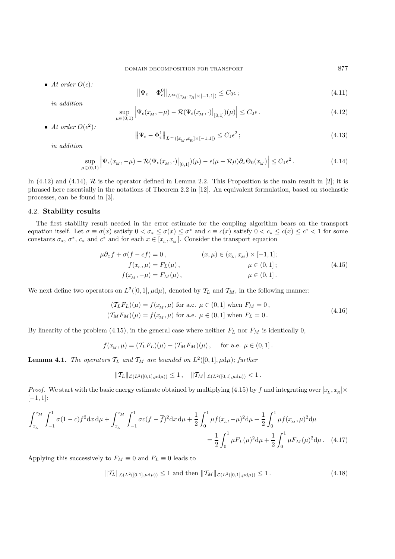• *At order*  $O(\epsilon)$ *:* 

$$
\left\| \Psi_{\epsilon} - \Phi_{\epsilon}^{0} \right\|_{L^{\infty}([x_M, x_R] \times [-1, 1])} \le C_0 \epsilon \tag{4.11}
$$

*in addition*

$$
\sup_{\mu \in (0,1)} \left| \Psi_{\epsilon}(x_M, -\mu) - \mathcal{R}(\Psi_{\epsilon}(x_M, \cdot)|_{[0,1]}) (\mu) \right| \le C_0 \epsilon \,. \tag{4.12}
$$

• *At order*  $O(\epsilon^2)$ *:* 

sup

$$
\left\|\Psi_{\epsilon} - \Phi_{\epsilon}^{1}\right\|_{L^{\infty}\left([x_{M}, x_{R}] \times [-1, 1]\right)} \leq C_{1} \epsilon^{2};\tag{4.13}
$$

*in addition*

$$
\sup_{\mu \in (0,1)} \left| \Psi_{\epsilon}(x_M, -\mu) - \mathcal{R}(\Psi_{\epsilon}(x_M, \cdot)) \Big|_{[0,1]}( \mu) - \epsilon(\mu - \mathcal{R}\mu) \partial_x \Theta_0(x_M) \right| \le C_1 \epsilon^2.
$$
\n(4.14)

In (4.12) and (4.14),  $R$  is the operator defined in Lemma 2.2. This Proposition is the main result in [2]; it is phrased here essentially in the notations of Theorem 2.2 in [12]. An equivalent formulation, based on stochastic processes, can be found in [3].

## 4.2. **Stability results**

The first stability result needed in the error estimate for the coupling algorithm bears on the transport equation itself. Let  $\sigma \equiv \sigma(x)$  satisfy  $0 < \sigma_* \leq \sigma(x) \leq \sigma^*$  and  $c \equiv c(x)$  satisfy  $0 < c_* \leq c(x) \leq c^* < 1$  for some constants  $\sigma_*$ ,  $\sigma^*$ ,  $c_*$  and  $c^*$  and for each  $x \in [x_L, x_M]$ . Consider the transport equation

$$
\mu \partial_x f + \sigma(f - c\overline{f}) = 0, \qquad (x, \mu) \in (x_L, x_M) \times [-1, 1]; \nf(x_L, \mu) = F_L(\mu), \qquad \mu \in (0, 1]; \nf(x_M, -\mu) = F_M(\mu), \qquad \mu \in (0, 1].
$$
\n(4.15)

We next define two operators on  $L^2([0,1], \mu d\mu)$ , denoted by  $\mathcal{T}_L$  and  $\mathcal{T}_M$ , in the following manner:

$$
(T_L F_L)(\mu) = f(x_M, \mu) \text{ for a.e. } \mu \in (0, 1] \text{ when } F_M = 0,
$$
  

$$
(T_M F_M)(\mu) = f(x_M, \mu) \text{ for a.e. } \mu \in (0, 1] \text{ when } F_L = 0.
$$
 (4.16)

By linearity of the problem (4.15), in the general case where neither  $F_L$  nor  $F_M$  is identically 0,

$$
f(x_M, \mu) = (T_L F_L)(\mu) + (T_M F_M)(\mu)
$$
, for a.e.  $\mu \in (0, 1]$ .

**Lemma 4.1.** *The operators*  $\mathcal{T}_L$  *and*  $\mathcal{T}_M$  *are bounded on*  $L^2([0,1], \mu d\mu)$ *; further* 

$$
\|\mathcal{T}_L\|_{\mathcal{L}(L^2([0,1],\mu d\mu))} \leq 1, \quad \|\mathcal{T}_M\|_{\mathcal{L}(L^2([0,1],\mu d\mu))} < 1.
$$

*Proof.* We start with the basic energy estimate obtained by multiplying (4.15) by f and integrating over  $[x_L, x_R] \times$  $[-1, 1]$ :

$$
\int_{x_L}^{x_M} \int_{-1}^1 \sigma(1-c) f^2 dx d\mu + \int_{x_L}^{x_M} \int_{-1}^1 \sigma c(f-\overline{f})^2 dx d\mu + \frac{1}{2} \int_0^1 \mu f(x_L, -\mu)^2 d\mu + \frac{1}{2} \int_0^1 \mu f(x_M, \mu)^2 d\mu
$$

$$
= \frac{1}{2} \int_0^1 \mu F_L(\mu)^2 d\mu + \frac{1}{2} \int_0^1 \mu F_M(\mu)^2 d\mu. \quad (4.17)
$$

Applying this successively to  $F_M \equiv 0$  and  $F_L \equiv 0$  leads to

$$
\|\mathcal{T}_L\|_{\mathcal{L}(L^2([0,1],\mu d\mu))} \le 1 \text{ and then } \|\mathcal{T}_M\|_{\mathcal{L}(L^2([0,1],\mu d\mu))} \le 1. \tag{4.18}
$$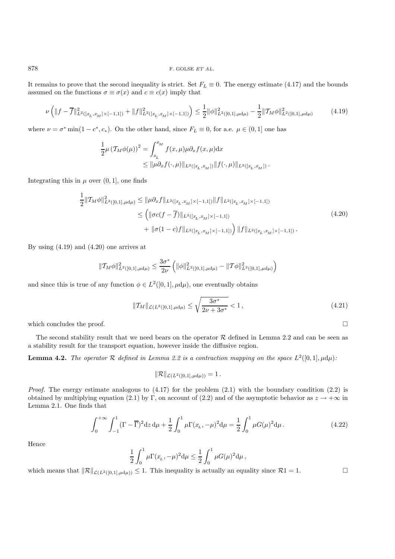It remains to prove that the second inequality is strict. Set  $F_L \equiv 0$ . The energy estimate (4.17) and the bounds assumed on the functions  $\sigma \equiv \sigma(x)$  and  $c \equiv c(x)$  imply that

$$
\nu\left(\|f-\overline{f}\|_{L^{2}([x_L,x_M]\times[-1,1])}^2+\|f\|_{L^{2}([x_L,x_M]\times[-1,1])}^2\right)\leq\frac{1}{2}\|\phi\|_{L^{2}([0,1],\mu\mathrm{d}\mu)}^2-\frac{1}{2}\|\mathcal{T}_M\phi\|_{L^{2}([0,1],\mu\mathrm{d}\mu)}^2\tag{4.19}
$$

where  $\nu = \sigma^* \min(1 - c^*, c_*).$  On the other hand, since  $F_L \equiv 0$ , for a.e.  $\mu \in (0, 1]$  one has

$$
\frac{1}{2}\mu \left(\mathcal{T}_M \phi(\mu)\right)^2 = \int_{x_L}^{x_M} f(x,\mu)\mu \partial_x f(x,\mu) dx
$$
  
\n
$$
\leq \|\mu \partial_x f(\cdot,\mu)\|_{L^2([x_L, x_M])} \|f(\cdot,\mu)\|_{L^2([x_L, x_M])}.
$$

Integrating this in  $\mu$  over  $(0, 1]$ , one finds

$$
\frac{1}{2} ||T_M \phi||_{L^2([0,1],\mu d\mu)}^2 \le ||\mu \partial_x f||_{L^2([x_L, x_M] \times [-1,1])} ||f||_{L^2([x_L, x_M] \times [-1,1])}
$$
\n
$$
\le \left( ||\sigma c(f - \overline{f})||_{L^2([x_L, x_M] \times [-1,1])} + ||\sigma (1-c)f||_{L^2([x_L, x_M] \times [-1,1])} \right) ||f||_{L^2([x_L, x_M] \times [-1,1])}.
$$
\n(4.20)

By using (4.19) and (4.20) one arrives at

$$
\|\mathcal{T}_M\phi\|_{L^2([0,1],\mu\mathrm{d}\mu)}^2 \leq \frac{3\sigma^*}{2\nu} \left( \|\phi\|_{L^2([0,1],\mu\mathrm{d}\mu)}^2 - \|\mathcal{T}\phi\|_{L^2([0,1],\mu\mathrm{d}\mu)}^2 \right)
$$

and since this is true of any function  $\phi \in L^2([0,1], \mu d\mu)$ , one eventually obtains

$$
\|\mathcal{T}_M\|_{\mathcal{L}(L^2([0,1],\mu d\mu)} \le \sqrt{\frac{3\sigma^*}{2\nu + 3\sigma^*}} < 1,
$$
\n(4.21)

which concludes the proof.  $\Box$ 

The second stability result that we need bears on the operator  $R$  defined in Lemma 2.2 and can be seen as a stability result for the transport equation, however inside the diffusive region.

**Lemma 4.2.** *The operator*  $\mathcal R$  *defined in Lemma 2.2 is a contraction mapping on the space*  $L^2([0,1], \mu d\mu)$ *:* 

$$
\|\mathcal{R}\|_{\mathcal{L}(L^2([0,1],\mu d\mu))}=1.
$$

*Proof.* The energy estimate analogous to  $(4.17)$  for the problem  $(2.1)$  with the boundary condition  $(2.2)$  is obtained by multiplying equation (2.1) by Γ, on account of (2.2) and of the asymptotic behavior as  $z \to +\infty$  in Lemma 2.1. One finds that

$$
\int_0^{+\infty} \int_{-1}^1 (\Gamma - \overline{\Gamma})^2 dz d\mu + \frac{1}{2} \int_0^1 \mu \Gamma(x_L, -\mu)^2 d\mu = \frac{1}{2} \int_0^1 \mu G(\mu)^2 d\mu.
$$
 (4.22)

Hence

$$
\frac{1}{2} \int_0^1 \mu \Gamma(x_L, -\mu)^2 d\mu \leq \frac{1}{2} \int_0^1 \mu G(\mu)^2 d\mu,
$$

which means that  $\|\mathcal{R}\|_{\mathcal{L}(L^2([0,1],\mu d\mu))} \leq 1$ . This inequality is actually an equality since  $\mathcal{R}1 = 1$ .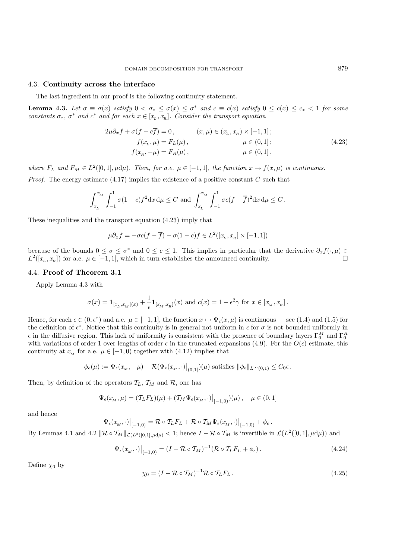### 4.3. **Continuity across the interface**

The last ingredient in our proof is the following continuity statement.

**Lemma 4.3.** Let  $\sigma \equiv \sigma(x)$  satisfy  $0 < \sigma_* \leq \sigma(x) \leq \sigma^*$  and  $c \equiv c(x)$  satisfy  $0 \leq c(x) \leq c_* < 1$  for some *constants*  $\sigma_*$ ,  $\sigma^*$  *and*  $c^*$  *and for each*  $x \in [x_L, x_R]$ *. Consider the transport equation* 

$$
2\mu \partial_x f + \sigma(f - c\overline{f}) = 0, \qquad (x, \mu) \in (x, x_R) \times [-1, 1]; \nf(x_L, \mu) = F_L(\mu), \qquad \mu \in (0, 1]; \nf(x_R, -\mu) = F_R(\mu), \qquad \mu \in (0, 1],
$$
\n(4.23)

*where*  $F_L$  *and*  $F_M \in L^2([0,1], \mu d\mu)$ *. Then, for a.e.*  $\mu \in [-1,1]$ *, the function*  $x \mapsto f(x, \mu)$  *is continuous.* 

*Proof.* The energy estimate  $(4.17)$  implies the existence of a positive constant C such that

$$
\int_{x_L}^{x_M} \int_{-1}^1 \sigma(1-c) f^2 dx d\mu \le C \text{ and } \int_{x_L}^{x_M} \int_{-1}^1 \sigma c(f - \overline{f})^2 dx d\mu \le C.
$$

These inequalities and the transport equation (4.23) imply that

$$
\mu \partial_x f = -\sigma c(f - \overline{f}) - \sigma (1 - c)f \in L^2([x_L, x_R] \times [-1, 1])
$$

because of the bounds  $0 \leq \sigma \leq \sigma^*$  and  $0 \leq c \leq 1$ . This implies in particular that the derivative  $\partial_x f(\cdot, \mu) \in$  $L^2([x_L, x_R])$  for a.e.  $\mu \in [-1, 1]$ , which in turn establishes the announced continuity.

### 4.4. **Proof of Theorem 3.1**

Apply Lemma 4.3 with

$$
\sigma(x) = \mathbf{1}_{[x_L, x_M](x)} + \frac{1}{\epsilon} \mathbf{1}_{[x_M, x_R]}(x) \text{ and } c(x) = 1 - \epsilon^2 \gamma \text{ for } x \in [x_M, x_R].
$$

Hence, for each  $\epsilon \in (0, \epsilon^*)$  and a.e.  $\mu \in [-1, 1]$ , the function  $x \mapsto \Psi_{\epsilon}(x, \mu)$  is continuous — see (1.4) and (1.5) for the definition of  $\epsilon^*$ . Notice that this continuity is in general not uniform in  $\epsilon$  for  $\sigma$  is not bounded uniformly in  $\epsilon$  in the diffusive region. This lack of uniformity is consistent with the presence of boundary layers  $\Gamma_0^M$  and  $\Gamma_0^R$ <br>with variations of order 1 over lengths of order  $\epsilon$  in the truncated expansions (4.9). For t with variations of order 1 over lengths of order  $\epsilon$  in the truncated expansions (4.9). For the  $O(\epsilon)$  estimate, this continuity at  $x_M$  for a.e.  $\mu \in [-1, 0)$  together with (4.12) implies that

$$
\phi_{\epsilon}(\mu) := \Psi_{\epsilon}(x_M, -\mu) - \mathcal{R}(\Psi_{\epsilon}(x_M, \cdot)|_{(0,1]})(\mu) \text{ satisfies } ||\phi_{\epsilon}||_{L^{\infty}(0,1)} \leq C_0 \epsilon.
$$

Then, by definition of the operators  $\mathcal{T}_L$ ,  $\mathcal{T}_M$  and  $\mathcal{R}$ , one has

$$
\Psi_{\epsilon}(x_M, \mu) = (T_L F_L)(\mu) + (T_M \Psi_{\epsilon}(x_M, \cdot)|_{[-1,0)})(\mu), \quad \mu \in (0,1]
$$

and hence

$$
\left.\Psi_{\epsilon}(x_M,\cdot)\right|_{[-1,0)} = \mathcal{R} \circ \mathcal{T}_L F_L + \mathcal{R} \circ \mathcal{T}_M \Psi_{\epsilon}(x_M,\cdot)\right|_{[-1,0)} + \phi_{\epsilon}.
$$

By Lemmas 4.1 and 4.2  $\|\mathcal{R} \circ \mathcal{T}_M\|_{\mathcal{L}(L^2([0,1],\mu d\mu)} < 1$ ; hence  $I - \mathcal{R} \circ \mathcal{T}_M$  is invertible in  $\mathcal{L}(L^2([0,1],\mu d\mu))$  and

$$
\Psi_{\epsilon}(x_M, \cdot)|_{[-1,0)} = (I - \mathcal{R} \circ \mathcal{T}_M)^{-1} (\mathcal{R} \circ \mathcal{T}_L F_L + \phi_{\epsilon}). \tag{4.24}
$$

Define  $\chi_0$  by

$$
\chi_0 = (I - \mathcal{R} \circ \mathcal{T}_M)^{-1} \mathcal{R} \circ \mathcal{T}_L F_L. \qquad (4.25)
$$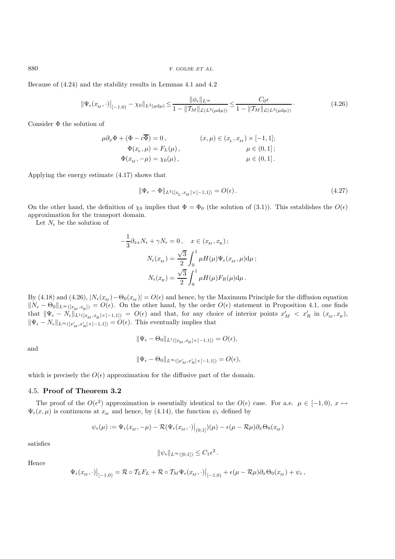880 F. GOLSE  $ETAL$ .

Because of (4.24) and the stability results in Lemmas 4.1 and 4.2

$$
\|\Psi_{\epsilon}(x_M,\cdot)\|_{[-1,0)} - \chi_0\|_{L^2(\mu d\mu)} \le \frac{\|\phi_{\epsilon}\|_{L^{\infty}}}{1 - \|\mathcal{T}_M\|_{\mathcal{L}(L^2(\mu d\mu))}} \le \frac{C_0 \epsilon}{1 - \|\mathcal{T}_M\|_{\mathcal{L}(L^2(\mu d\mu))}} \,. \tag{4.26}
$$

Consider Φ the solution of

$$
\begin{aligned}\n\mu \partial_x \Phi + (\Phi - c\overline{\Phi}) &= 0, & (x, \mu) \in (x_L, x_M) \times [-1, 1]; \\
\Phi(x_L, \mu) &= F_L(\mu), & \mu \in (0, 1]; \\
\Phi(x_M, -\mu) &= \chi_0(\mu), & \mu \in (0, 1].\n\end{aligned}
$$

Applying the energy estimate (4.17) shows that

$$
\|\Psi_{\epsilon} - \Phi\|_{L^2([x_L, x_M] \times [-1, 1])} = O(\epsilon). \tag{4.27}
$$

On the other hand, the definition of  $\chi_0$  implies that  $\Phi = \Phi_0$  (the solution of (3.1)). This establishes the  $O(\epsilon)$ approximation for the transport domain.

Let  $N_{\epsilon}$  be the solution of

$$
-\frac{1}{3}\partial_{xx}N_{\epsilon} + \gamma N_{\epsilon} = 0, \quad x \in (x_M, x_R);
$$

$$
N_{\epsilon}(x_M) = \frac{\sqrt{3}}{2} \int_0^1 \mu H(\mu)\Psi_{\epsilon}(x_M, \mu) d\mu;
$$

$$
N_{\epsilon}(x_R) = \frac{\sqrt{3}}{2} \int_0^1 \mu H(\mu) F_R(\mu) d\mu.
$$

By (4.18) and (4.26),  $|N_{\epsilon}(x_M) - \Theta_0(x_M)| = O(\epsilon)$  and hence, by the Maximum Principle for the diffusion equation  $||N_{\epsilon} - \Theta_0||_{L^{\infty}([x_M, x_R])} = O(\epsilon)$ . On the other hand, by the order  $O(\epsilon)$  statement in Proposition 4.1, one finds that  $\|\Psi_{\epsilon} - N_{\epsilon}\|_{L^{1}([x_M, x_R] \times [-1, 1])} = O(\epsilon)$  and that, for any choice of interior points  $x'_M < x'_R$  in  $(x_M, x_R)$ ,  $\|\Psi_{\epsilon} - N_{\epsilon}\|_{L^{\infty}([x'_M, x'_R] \times [-1,1])} = O(\epsilon)$ . This eventually implies that

$$
\|\Psi_{\epsilon}-\Theta_0\|_{L^1([x_M,x_R]\times[-1,1])}=O(\epsilon),
$$

and

$$
\|\Psi_{\epsilon} - \Theta_0\|_{L^{\infty}([x'_M, x'_R] \times [-1,1])} = O(\epsilon),
$$

which is precisely the  $O(\epsilon)$  approximation for the diffusive part of the domain.

#### 4.5. **Proof of Theorem 3.2**

The proof of the  $O(\epsilon^2)$  approximation is essentially identical to the  $O(\epsilon)$  case. For a.e.  $\mu \in [-1,0), x \mapsto$  $\Psi_{\epsilon}(x,\mu)$  is continuous at  $x_M$  and hence, by (4.14), the function  $\psi_{\epsilon}$  defined by

$$
\psi_{\epsilon}(\mu) := \Psi_{\epsilon}(x_M, -\mu) - \mathcal{R}(\Psi_{\epsilon}(x_M, \cdot)|_{(0,1]})(\mu) - \epsilon(\mu - \mathcal{R}\mu)\partial_x\Theta_0(x_M)
$$

satisfies

$$
\|\psi_{\epsilon}\|_{L^{\infty}([0,1])}\leq C_1\epsilon^2.
$$

Hence

$$
\left.\Psi_\epsilon(x_{\scriptscriptstyle M},\cdot)\right|_{[-1,0)} = \mathcal{R}\circ \mathcal{T}_L F_L + \mathcal{R}\circ \mathcal{T}_M \Psi_\epsilon(x_{\scriptscriptstyle M},\cdot)\big|_{[-1,0)} + \epsilon (\mu - \mathcal{R}\mu) \partial_x \Theta_0(x_{\scriptscriptstyle M}) + \psi_\epsilon\,,
$$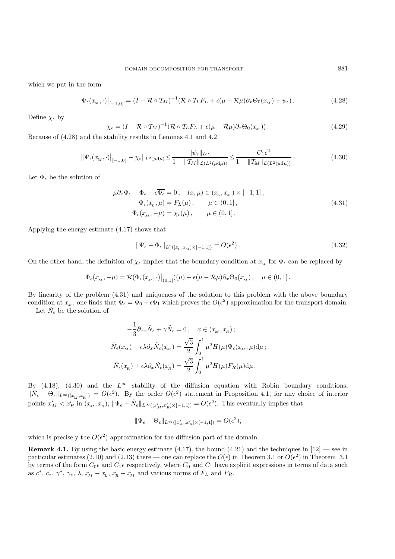which we put in the form

$$
\Psi_{\epsilon}(x_M, \cdot)|_{[-1,0)} = (I - \mathcal{R} \circ \mathcal{T}_M)^{-1} (\mathcal{R} \circ \mathcal{T}_L F_L + \epsilon (\mu - \mathcal{R}\mu) \partial_x \Theta_0(x_M) + \psi_{\epsilon}). \tag{4.28}
$$

Define  $\chi_{\epsilon}$  by

$$
\chi_{\epsilon} = (I - \mathcal{R} \circ \mathcal{T}_M)^{-1} (\mathcal{R} \circ \mathcal{T}_L F_L + \epsilon (\mu - \mathcal{R}\mu) \partial_x \Theta_0(x_M)). \tag{4.29}
$$

Because of (4.28) and the stability results in Lemmas 4.1 and 4.2

$$
\|\Psi_{\epsilon}(x_M,\cdot)\|_{[-1,0)} - \chi_{\epsilon}\|_{L^2(\mu d\mu)} \le \frac{\|\psi_{\epsilon}\|_{L^{\infty}}}{1 - \|\mathcal{T}_M\|_{\mathcal{L}(L^2(\mu d\mu))}} \le \frac{C_1 \epsilon^2}{1 - \|\mathcal{T}_M\|_{\mathcal{L}(L^2(\mu d\mu))}}.
$$
\n(4.30)

Let  $\Phi_{\epsilon}$  be the solution of

$$
\mu \partial_x \Phi_{\epsilon} + \Phi_{\epsilon} - c \overline{\Phi_{\epsilon}} = 0, \quad (x, \mu) \in (x_L, x_M) \times [-1, 1],
$$
  
\n
$$
\Phi_{\epsilon}(x_L, \mu) = F_L(\mu), \qquad \mu \in (0, 1],
$$
  
\n
$$
\Phi_{\epsilon}(x_M, -\mu) = \chi_{\epsilon}(\mu), \qquad \mu \in (0, 1].
$$
\n(4.31)

Applying the energy estimate (4.17) shows that

$$
\|\Psi_{\epsilon} - \Phi_{\epsilon}\|_{L^2([x_L, x_M] \times [-1, 1])} = O(\epsilon^2). \tag{4.32}
$$

On the other hand, the definition of  $\chi_{\epsilon}$  implies that the boundary condition at  $x_M$  for  $\Phi_{\epsilon}$  can be replaced by

$$
\Phi_{\epsilon}(x_M, -\mu) = \mathcal{R}(\Phi_{\epsilon}(x_M, \cdot)|_{(0,1]})(\mu) + \epsilon(\mu - \mathcal{R}\mu)\partial_x \Theta_0(x_M), \quad \mu \in (0,1].
$$

By linearity of the problem (4.31) and uniqueness of the solution to this problem with the above boundary condition at  $x_M$ , one finds that  $\Phi_{\epsilon} = \Phi_0 + \epsilon \Phi_1$  which proves the  $O(\epsilon^2)$  approximation for the transport domain.

Let  $N_{\epsilon}$  be the solution of

$$
-\frac{1}{3}\partial_{xx}\tilde{N}_{\epsilon} + \gamma \tilde{N}_{\epsilon} = 0, \quad x \in (x_{\scriptscriptstyle M}, x_{\scriptscriptstyle R});
$$
  

$$
\tilde{N}_{\epsilon}(x_{\scriptscriptstyle M}) - \epsilon \lambda \partial_{x} \tilde{N}_{\epsilon}(x_{\scriptscriptstyle M}) = \frac{\sqrt{3}}{2} \int_{0}^{1} \mu^{2} H(\mu) \Psi_{\epsilon}(x_{\scriptscriptstyle M}, \mu) d\mu;
$$
  

$$
\tilde{N}_{\epsilon}(x_{\scriptscriptstyle R}) + \epsilon \lambda \partial_{x} \tilde{N}_{\epsilon}(x_{\scriptscriptstyle R}) = \frac{\sqrt{3}}{2} \int_{0}^{1} \mu^{2} H(\mu) F_{R}(\mu) d\mu.
$$

By (4.18), (4.30) and the  $L^{\infty}$  stability of the diffusion equation with Robin boundary conditions,  $\|\tilde{N}_{\epsilon}-\Theta_{\epsilon}\|_{L^{\infty}([x_M, x_R])}=O(\epsilon^2)$ . By the order  $O(\epsilon^2)$  statement in Proposition 4.1, for any choice of interior points  $x'_M < x'_R$  in  $(x_M, x_R)$ ,  $\|\Psi_{\epsilon} - \tilde{N}_{\epsilon}\|_{L^{\infty}([x'_M, x'_R] \times [-1,1])} = O(\epsilon^2)$ . This eventually implies that

$$
\|\Psi_{\epsilon}-\Theta_{\epsilon}\|_{L^{\infty}([x'_M,x'_R]\times[-1,1])}=O(\epsilon^2),
$$

which is precisely the  $O(\epsilon^2)$  approximation for the diffusion part of the domain.

**Remark 4.1.** By using the basic energy estimate (4.17), the bound (4.21) and the techniques in  $[12]$  — see in particular estimates (2.10) and (2.13) there — one can replace the  $O(\epsilon)$  in Theorem 3.1 or  $O(\epsilon^2)$  in Theorem 3.1 by terms of the form  $C_0 \epsilon$  and  $C_1 \epsilon$  respectively, where  $C_0$  and  $C_1$  have explicit expressions in terms of data such as  $c^*$ ,  $c_*$ ,  $\gamma^*$ ,  $\gamma_*$ ,  $\lambda$ ,  $x_M - x_L$ ,  $x_R - x_M$  and various norms of  $F_L$  and  $F_R$ .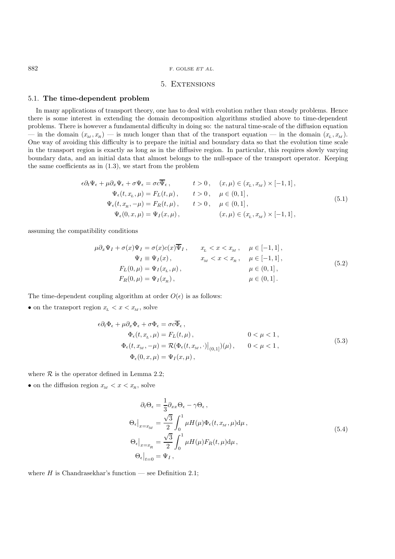#### 882 F. GOLSE  $ETAL$ .

## 5. Extensions

### 5.1. **The time-dependent problem**

In many applications of transport theory, one has to deal with evolution rather than steady problems. Hence there is some interest in extending the domain decomposition algorithms studied above to time-dependent problems. There is however a fundamental difficulty in doing so: the natural time-scale of the diffusion equation — in the domain  $(x_M, x_R)$  — is much longer than that of the transport equation — in the domain  $(x_L, x_M)$ . One way of avoiding this difficulty is to prepare the initial and boundary data so that the evolution time scale in the transport region is exactly as long as in the diffusive region. In particular, this requires slowly varying boundary data, and an initial data that almost belongs to the null-space of the transport operator. Keeping the same coefficients as in (1.3), we start from the problem

$$
\epsilon \partial_t \Psi_{\epsilon} + \mu \partial_x \Psi_{\epsilon} + \sigma \Psi_{\epsilon} = \sigma c \overline{\Psi}_{\epsilon}, \qquad t > 0, \quad (x, \mu) \in (x_L, x_M) \times [-1, 1],
$$
  
\n
$$
\Psi_{\epsilon}(t, x_L, \mu) = F_L(t, \mu), \qquad t > 0, \quad \mu \in (0, 1],
$$
  
\n
$$
\Psi_{\epsilon}(t, x_R, -\mu) = F_R(t, \mu), \qquad t > 0, \quad \mu \in (0, 1],
$$
  
\n
$$
\Psi_{\epsilon}(0, x, \mu) = \Psi_I(x, \mu), \qquad (x, \mu) \in (x_L, x_M) \times [-1, 1],
$$
  
\n(5.1)

assuming the compatibility conditions

$$
\mu \partial_x \Psi_I + \sigma(x) \Psi_I = \sigma(x) c(x) \overline{\Psi}_I, \qquad x_L < x < x_M, \qquad \mu \in [-1, 1], \n\Psi_I \equiv \Psi_I(x), \qquad x_M < x < x_n, \qquad \mu \in [-1, 1], \nF_L(0, \mu) = \Psi_I(x_L, \mu), \qquad \mu \in (0, 1], \nF_R(0, \mu) = \Psi_I(x_R), \qquad \mu \in (0, 1].
$$
\n(5.2)

The time-dependent coupling algorithm at order  $O(\epsilon)$  is as follows:

• on the transport region  $x_L < x < x_M$ , solve

$$
\epsilon \partial_t \Phi_{\epsilon} + \mu \partial_x \Phi_{\epsilon} + \sigma \Phi_{\epsilon} = \sigma c \overline{\Phi}_{\epsilon},
$$
  
\n
$$
\Phi_{\epsilon}(t, x_L, \mu) = F_L(t, \mu), \qquad 0 < \mu < 1,
$$
  
\n
$$
\Phi_{\epsilon}(t, x_M, -\mu) = \mathcal{R}(\Phi_{\epsilon}(t, x_M, \cdot)|_{(0,1]})(\mu), \qquad 0 < \mu < 1,
$$
  
\n
$$
\Phi_{\epsilon}(0, x, \mu) = \Psi_I(x, \mu), \qquad (5.3)
$$

where  $R$  is the operator defined in Lemma 2.2;

• on the diffusion region  $x_M < x < x_R$ , solve

$$
\partial_t \Theta_{\epsilon} = \frac{1}{3} \partial_{xx} \Theta_{\epsilon} - \gamma \Theta_{\epsilon} ,
$$
  
\n
$$
\Theta_{\epsilon}|_{x=x_M} = \frac{\sqrt{3}}{2} \int_0^1 \mu H(\mu) \Phi_{\epsilon}(t, x_M, \mu) d\mu ,
$$
  
\n
$$
\Theta_{\epsilon}|_{x=x_R} = \frac{\sqrt{3}}{2} \int_0^1 \mu H(\mu) F_R(t, \mu) d\mu ,
$$
  
\n
$$
\Theta_{\epsilon}|_{t=0} = \Psi_I ,
$$
\n(5.4)

where  $H$  is Chandrasekhar's function — see Definition 2.1;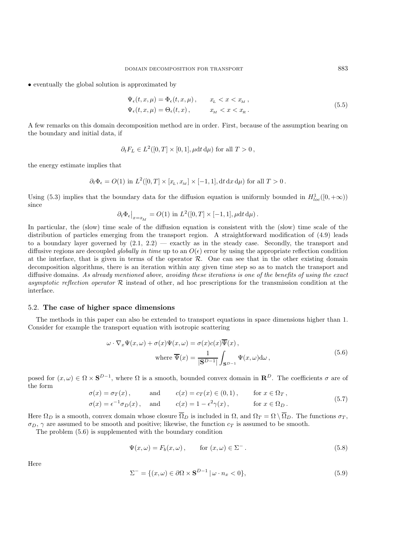• eventually the global solution is approximated by

$$
\Psi_{\epsilon}(t, x, \mu) = \Phi_{\epsilon}(t, x, \mu), \qquad x_{\mathcal{L}} < x < x_{\mathcal{M}},
$$
\n
$$
\Psi_{\epsilon}(t, x, \mu) = \Theta_{\epsilon}(t, x), \qquad x_{\mathcal{M}} < x < x_{\mathcal{R}}.
$$
\n
$$
(5.5)
$$

A few remarks on this domain decomposition method are in order. First, because of the assumption bearing on the boundary and initial data, if

$$
\partial_t F_L \in L^2([0,T] \times [0,1], \mu dt d\mu)
$$
 for all  $T > 0$ ,

the energy estimate implies that

$$
\partial_t \Phi_{\epsilon} = O(1) \text{ in } L^2([0,T] \times [x_L, x_M] \times [-1,1], \mathrm{d}t \, \mathrm{d}x \, \mathrm{d}\mu) \text{ for all } T > 0 \, .
$$

Using (5.3) implies that the boundary data for the diffusion equation is uniformly bounded in  $H_{loc}^1([0, +\infty))$ since

$$
\partial_t \Phi_{\epsilon}|_{x=x_M} = O(1) \text{ in } L^2([0,T] \times [-1,1], \mu dt d\mu).
$$

In particular, the (slow) time scale of the diffusion equation is consistent with the (slow) time scale of the distribution of particles emerging from the transport region. A straightforward modification of (4.9) leads to a boundary layer governed by  $(2.1, 2.2)$  — exactly as in the steady case. Secondly, the transport and diffusive regions are decoupled *globally in time* up to an  $O(\epsilon)$  error by using the appropriate reflection condition at the interface, that is given in terms of the operator  $R$ . One can see that in the other existing domain decomposition algorithms, there is an iteration within any given time step so as to match the transport and diffusive domains. *As already mentioned above, avoiding these iterations is one of the benefits of using the exact asymptotic reflection operator* R instead of other, ad hoc prescriptions for the transmission condition at the interface.

### 5.2. **The case of higher space dimensions**

The methods in this paper can also be extended to transport equations in space dimensions higher than 1. Consider for example the transport equation with isotropic scattering

$$
\omega \cdot \nabla_x \Psi(x,\omega) + \sigma(x)\Psi(x,\omega) = \sigma(x)c(x)\overline{\Psi}(x),
$$
  
where  $\overline{\Psi}(x) = \frac{1}{|\mathbf{S}^{D-1}|} \int_{\mathbf{S}^{D-1}} \Psi(x,\omega) d\omega,$  (5.6)

posed for  $(x, \omega) \in \Omega \times S^{D-1}$ , where  $\Omega$  is a smooth, bounded convex domain in  $\mathbb{R}^D$ . The coefficients  $\sigma$  are of the form

$$
\sigma(x) = \sigma_T(x), \quad \text{and} \quad c(x) = c_T(x) \in (0, 1), \quad \text{for } x \in \Omega_T,
$$
  
\n
$$
\sigma(x) = \epsilon^{-1} \sigma_D(x), \quad \text{and} \quad c(x) = 1 - \epsilon^2 \gamma(x), \quad \text{for } x \in \Omega_D.
$$
\n(5.7)

Here  $\Omega_D$  is a smooth, convex domain whose closure  $\Omega_D$  is included in  $\Omega$ , and  $\Omega_T = \Omega \setminus \Omega_D$ . The functions  $\sigma_T$ ,  $\sigma_D$ ,  $\gamma$  are assumed to be smooth and positive; likewise, the function  $c_T$  is assumed to be smooth.

The problem (5.6) is supplemented with the boundary condition

$$
\Psi(x,\omega) = F_b(x,\omega), \qquad \text{for } (x,\omega) \in \Sigma^-.
$$
\n(5.8)

Here

$$
\Sigma^{-} = \{ (x, \omega) \in \partial\Omega \times \mathbf{S}^{D-1} \, | \, \omega \cdot n_x < 0 \},\tag{5.9}
$$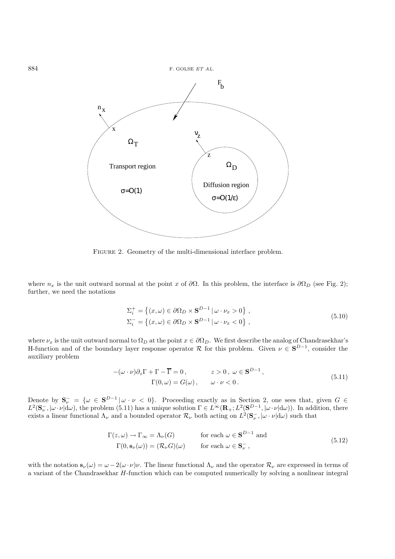

FIGURE 2. Geometry of the multi-dimensional interface problem.

where  $n_x$  is the unit outward normal at the point x of  $\partial\Omega$ . In this problem, the interface is  $\partial\Omega_D$  (see Fig. 2); further, we need the notations

$$
\Sigma_{i}^{+} = \left\{ (x,\omega) \in \partial \Omega_{D} \times \mathbf{S}^{D-1} \, | \, \omega \cdot \nu_{x} > 0 \right\},
$$
\n
$$
\Sigma_{i}^{-} = \left\{ (x,\omega) \in \partial \Omega_{D} \times \mathbf{S}^{D-1} \, | \, \omega \cdot \nu_{x} < 0 \right\},
$$
\n
$$
(5.10)
$$

where  $\nu_x$  is the unit outward normal to  $\Omega_D$  at the point  $x \in \partial \Omega_D$ . We first describe the analog of Chandrasekhar's<br>H-function and of the boundary layer response operator  $\mathcal{R}$  for this problem. Given  $\mu \in \mathbf{S}^{$ H-function and of the boundary layer response operator  $\mathcal{R}$  for this problem. Given  $\nu \in \mathbf{S}^{D-1}$ , consider the auxiliary problem. auxiliary problem

$$
-(\omega \cdot \nu)\partial_z \Gamma + \Gamma - \overline{\Gamma} = 0, \qquad z > 0, \ \omega \in \mathbf{S}^{D-1},
$$
  
 
$$
\Gamma(0, \omega) = G(\omega), \qquad \omega \cdot \nu < 0.
$$
 (5.11)

Denote by  $\mathbf{S}_{\nu}^{-} = \{ \omega \in \mathbf{S}^{D-1} | \omega \cdot \nu \langle 0 \rangle \}$ . Proceeding exactly as in Section 2, one sees that, given  $G \in L^2(\mathbf{S}^{\perp} | \omega, \nu | d\omega)$  the problem (5.11) has a unique solution  $\Gamma \in L^{\infty}(\mathbf{R} \cup L^2(\mathbf{S}^{D-1} |$  $L^2(\mathbf{S}_{\nu}^-, |\omega \cdot \nu| d\omega)$ , the problem (5.11) has a unique solution  $\Gamma \in L^{\infty}(\mathbf{R}_+; L^2(\mathbf{S}^{D-1}, |\omega \cdot \nu| d\omega))$ . In addition, there exists a linear functional  $\Lambda_{\nu}$  and a bounded operator  $\mathcal{R}_{\nu}$  both acting on  $L^2(\mathbf{S}_{\nu}^-, |\omega| \cdot \nu | d\omega)$  such that

$$
\Gamma(z,\omega) \to \Gamma_{\infty} = \Lambda_{\nu}(G) \quad \text{for each } \omega \in \mathbf{S}^{D-1} \text{ and}
$$
  
\n
$$
\Gamma(0,\mathbf{s}_{\nu}(\omega)) = (\mathcal{R}_{\nu}G)(\omega) \quad \text{for each } \omega \in \mathbf{S}_{\nu}^{-},
$$
\n(5.12)

with the notation  $\mathbf{s}_{\nu}(\omega) = \omega - 2(\omega \cdot \nu)\nu$ . The linear functional  $\Lambda_{\nu}$  and the operator  $\mathcal{R}_{\nu}$  are expressed in terms of a variant of the Chandrasekhar H-function which can be computed numerically by solving a nonlinear integral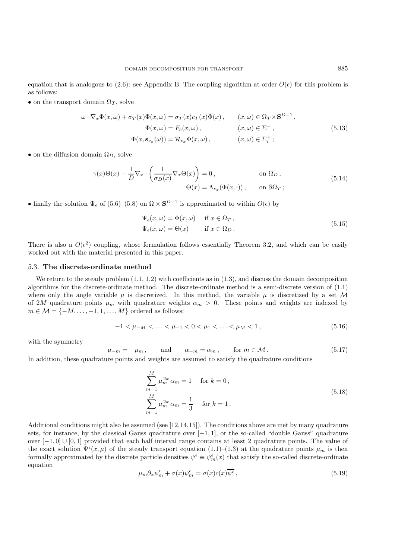equation that is analogous to (2.6): see Appendix B. The coupling algorithm at order  $O(\epsilon)$  for this problem is as follows:

• on the transport domain  $\Omega_T$ , solve

$$
\omega \cdot \nabla_x \Phi(x,\omega) + \sigma_T(x)\Phi(x,\omega) = \sigma_T(x)c_T(x)\overline{\Phi}(x), \qquad (x,\omega) \in \Omega_T \times \mathbf{S}^{D-1},
$$
  

$$
\Phi(x,\omega) = F_b(x,\omega), \qquad (x,\omega) \in \Sigma^-,
$$
  

$$
\Phi(x,\mathbf{s}_{\nu_x}(\omega)) = \mathcal{R}_{\nu_x}\Phi(x,\omega), \qquad (x,\omega) \in \Sigma_i^+;
$$
 (5.13)

• on the diffusion domain  $\Omega_D$ , solve

$$
\gamma(x)\Theta(x) - \frac{1}{D}\nabla_x \cdot \left(\frac{1}{\sigma_D(x)}\nabla_x \Theta(x)\right) = 0, \qquad \text{on } \Omega_D, \n\Theta(x) = \Lambda_{\nu_x}(\Phi(x, \cdot)), \qquad \text{on } \partial\Omega_T;
$$
\n(5.14)

• finally the solution  $\Psi_{\epsilon}$  of (5.6)–(5.8) on  $\Omega \times S^{D-1}$  is approximated to within  $O(\epsilon)$  by

$$
\Psi_{\epsilon}(x,\omega) = \Phi(x,\omega) \quad \text{if } x \in \Omega_T, \n\Psi_{\epsilon}(x,\omega) = \Theta(x) \quad \text{if } x \in \Omega_D.
$$
\n(5.15)

There is also a  $O(\epsilon^2)$  coupling, whose formulation follows essentially Theorem 3.2, and which can be easily worked out with the material presented in this paper.

### 5.3. **The discrete-ordinate method**

We return to the steady problem  $(1.1, 1.2)$  with coefficients as in  $(1.3)$ , and discuss the domain decomposition algorithms for the discrete-ordinate method. The discrete-ordinate method is a semi-discrete version of (1.1) where only the angle variable  $\mu$  is discretized. In this method, the variable  $\mu$  is discretized by a set M of 2M quadrature points  $\mu_m$  with quadrature weights  $\alpha_m > 0$ . These points and weights are indexed by  $m \in \mathcal{M} = \{-M, \ldots, -1, 1, \ldots, M\}$  ordered as follows:

$$
-1 < \mu_{-M} < \ldots < \mu_{-1} < 0 < \mu_1 < \ldots < \mu_M < 1,\tag{5.16}
$$

with the symmetry

$$
\mu_{-m} = -\mu_m, \qquad \text{and} \qquad \alpha_{-m} = \alpha_m, \qquad \text{for } m \in \mathcal{M}.
$$
\n(5.17)

\nIn addition, these quadrature points and weights are assumed to satisfy the quadrature conditions

$$
\sum_{m=1}^{M} \mu_m^{2k} \alpha_m = 1 \quad \text{for } k = 0,
$$
  

$$
\sum_{m=1}^{M} \mu_m^{2k} \alpha_m = \frac{1}{3} \quad \text{for } k = 1.
$$
 (5.18)

Additional conditions might also be assumed (see  $[12,14,15]$ ). The conditions above are met by many quadrature sets, for instance, by the classical Gauss quadrature over  $[-1, 1]$ , or the so-called "double Gauss" quadrature over  $[-1, 0]$  ∪  $[0, 1]$  provided that each half interval range contains at least 2 quadrature points. The value of the exact solution  $\Psi^{\epsilon}(x,\mu)$  of the steady transport equation (1.1)–(1.3) at the quadrature points  $\mu_m$  is then formally approximated by the discrete particle densities  $\psi^{\epsilon} \equiv \psi^{\epsilon}_m(x)$  that satisfy the so-called discrete-ordinate equation equation

$$
\mu_m \partial_x \psi_m^{\epsilon} + \sigma(x) \psi_m^{\epsilon} = \sigma(x) c(x) \overline{\psi^{\epsilon}}, \qquad (5.19)
$$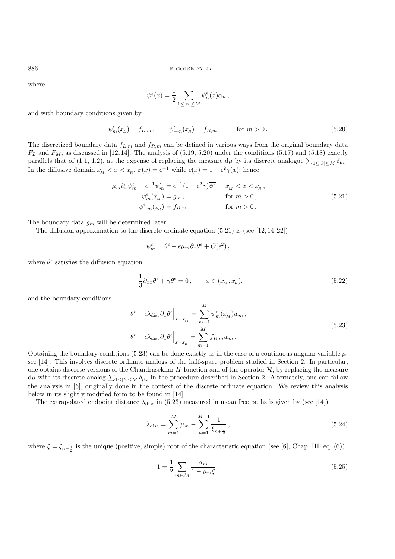where

$$
\overline{\psi^{\epsilon}}(x) = \frac{1}{2} \sum_{1 \leq |n| \leq M} \psi_n^{\epsilon}(x) \alpha_n ,
$$

and with boundary conditions given by

$$
\psi_m^{\epsilon}(x_L) = f_{L,m}, \qquad \psi_{-m}^{\epsilon}(x_R) = f_{R,m}, \qquad \text{for } m > 0.
$$
 (5.20)

The discretized boundary data  $f_{L,m}$  and  $f_{R,m}$  can be defined in various ways from the original boundary data  $F_L$  and  $F_M$ , as discussed in [12, 14]. The analysis of (5.19, 5.20) under the conditions (5.17) and (5.18) exactly parallels that of (1.1, 1.2), at the expense of replacing the measure  $d\mu$  by its discrete analogue  $\sum_{1 \leq |k| \leq M} \delta_{\mu_k}$ .<br>In the diffusive density  $\sum_{k=1}^{\infty} \delta_{k} \delta_{k} = (a)$  and  $\sum_{k=1}^{\infty} \min_{k=1}^{\infty} a(k)$  and  $\$ In the diffusive domain  $x_M < x < x_R$ ,  $\sigma(x) = \epsilon^{-1}$  while  $c(x) = 1 - \epsilon^2 \gamma(x)$ ; hence

$$
\mu_m \partial_x \psi_m^{\epsilon} + \epsilon^{-1} \psi_m^{\epsilon} = \epsilon^{-1} (1 - \epsilon^2 \gamma) \overline{\psi^{\epsilon}}, \quad x_M < x < x_n,
$$
  
\n
$$
\psi_m^{\epsilon} (x_M) = g_m, \qquad \text{for } m > 0,
$$
  
\n
$$
\psi_{-m}^{\epsilon} (x_R) = f_{R,m}, \qquad \text{for } m > 0.
$$
\n(5.21)

The boundary data  $g_m$  will be determined later.

The diffusion approximation to the discrete-ordinate equation  $(5.21)$  is (see [12, 14, 22])

$$
\psi_m^{\epsilon} = \theta^{\epsilon} - \epsilon \mu_m \partial_x \theta^{\epsilon} + O(\epsilon^2) ,
$$

where  $\theta^{\epsilon}$  satisfies the diffusion equation

$$
-\frac{1}{3}\partial_{xx}\theta^{\epsilon} + \gamma\theta^{\epsilon} = 0, \qquad x \in (x_M, x_R),
$$
\n(5.22)

and the boundary conditions

$$
\theta^{\epsilon} - \epsilon \lambda_{\text{disc}} \partial_x \theta^{\epsilon} \Big|_{x = x_M} = \sum_{m=1}^M \psi_m^{\epsilon}(x_m) w_m ,
$$
  

$$
\theta^{\epsilon} + \epsilon \lambda_{\text{disc}} \partial_x \theta^{\epsilon} \Big|_{x = x_R} = \sum_{m=1}^M f_{R,m} w_m .
$$
 (5.23)

Obtaining the boundary conditions (5.23) can be done exactly as in the case of a continuous angular variable  $\mu$ : see [14]. This involves discrete ordinate analogs of the half-space problem studied in Section 2. In particular, one obtains discrete versions of the Chandrasekhar  $H$ -function and of the operator  $\mathcal{R}$ , by replacing the measure  $d\mu$  with its discrete analog  $\sum_{1\leq |k| \leq M} \delta_{\mu_k}$  in the procedure described in Section 2. Alternately, one can follow the analysis in [6], originally done in the context of the discrete ordinate equation. We review this analysis below in its slightly modified form to be found in [14].

The extrapolated endpoint distance  $\lambda_{\text{disc}}$  in (5.23) measured in mean free paths is given by (see [14])

$$
\lambda_{\text{disc}} = \sum_{m=1}^{M} \mu_m - \sum_{n=1}^{M-1} \frac{1}{\xi_{n+\frac{1}{2}}},\tag{5.24}
$$

where  $\xi = \xi_{n+\frac{1}{2}}$  is the unique (positive, simple) root of the characteristic equation (see [6], Chap. III, eq. (6))

$$
1 = \frac{1}{2} \sum_{m \in \mathcal{M}} \frac{\alpha_m}{1 - \mu_m \xi},\tag{5.25}
$$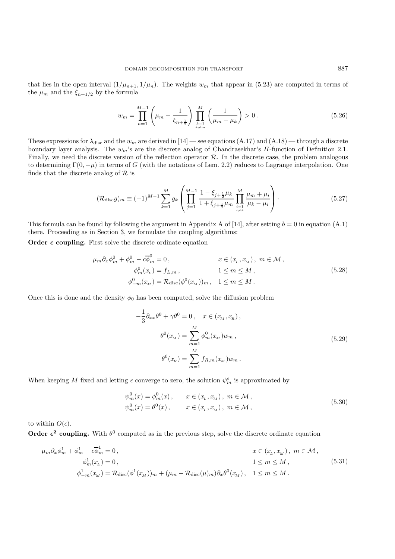that lies in the open interval  $(1/\mu_{n+1}, 1/\mu_n)$ . The weights  $w_m$  that appear in (5.23) are computed in terms of the  $\mu_m$  and the  $\xi_{n+1/2}$  by the formula

$$
w_m = \prod_{n=1}^{M-1} \left( \mu_m - \frac{1}{\xi_{n+\frac{1}{2}}} \right) \prod_{\substack{k=1 \ k \neq m}}^M \left( \frac{1}{\mu_m - \mu_k} \right) > 0. \tag{5.26}
$$

These expressions for  $\lambda_{\text{disc}}$  and the  $w_m$  are derived in [14] — see equations (A.17) and (A.18) — through a discrete boundary layer analysis. The  $w_m$ 's are the discrete analog of Chandrasekhar's H-function of Definition 2.1. Finally, we need the discrete version of the reflection operator  $R$ . In the discrete case, the problem analogous to determining  $\Gamma(0, -\mu)$  in terms of G (with the notations of Lem. 2.2) reduces to Lagrange interpolation. One finds that the discrete analog of  $R$  is

$$
(\mathcal{R}_{\text{disc}}g)_m \equiv (-1)^{M-1} \sum_{k=1}^M g_k \left( \prod_{j=1}^{M-1} \frac{1 - \xi_{j+\frac{1}{2}} \mu_k}{1 + \xi_{j+\frac{1}{2}} \mu_m} \prod_{\substack{i=1 \ i \neq k}}^M \frac{\mu_m + \mu_i}{\mu_k - \mu_i} \right). \tag{5.27}
$$

This formula can be found by following the argument in Appendix A of [14], after setting  $b = 0$  in equation (A.1) there. Proceeding as in Section 3, we formulate the coupling algorithms:

**Order**  $\epsilon$  coupling. First solve the discrete ordinate equation

$$
\mu_m \partial_x \phi_m^0 + \phi_m^0 - c \overline{\phi}_m^0 = 0, \qquad x \in (x_L, x_M), \ m \in \mathcal{M},
$$
  
\n
$$
\phi_m^0(x_L) = f_{L,m}, \qquad 1 \le m \le M,
$$
  
\n
$$
\phi_{-m}^0(x_M) = \mathcal{R}_{\text{disc}}(\phi^0(x_M))_m, \quad 1 \le m \le M.
$$
\n(5.28)

Once this is done and the density  $\phi_0$  has been computed, solve the diffusion problem

$$
-\frac{1}{3}\partial_{xx}\theta^{0} + \gamma\theta^{0} = 0, \quad x \in (x_{M}, x_{R}),
$$

$$
\theta^{0}(x_{M}) = \sum_{m=1}^{M} \phi_{m}^{0}(x_{M})w_{m},
$$

$$
\theta^{0}(x_{R}) = \sum_{m=1}^{M} f_{R,m}(x_{M})w_{m}.
$$
(5.29)

When keeping M fixed and letting  $\epsilon$  converge to zero, the solution  $\psi_m^{\epsilon}$  is approximated by

$$
\psi_m^0(x) = \phi_m^0(x), \qquad x \in (x_L, x_M), \ m \in \mathcal{M}, \n\psi_m^0(x) = \theta^0(x), \qquad x \in (x_L, x_M), \ m \in \mathcal{M},
$$
\n(5.30)

to within  $O(\epsilon)$ .

**Order**  $\epsilon^2$  **coupling.** With  $\theta^0$  computed as in the previous step, solve the discrete ordinate equation

$$
\mu_m \partial_x \phi_m^1 + \phi_m^1 - c \overline{\phi}_m^1 = 0, \qquad x \in (x_L, x_M), \ m \in \mathcal{M},
$$
  
\n
$$
\phi_m^1(x_L) = 0, \qquad 1 \le m \le M,
$$
  
\n
$$
\phi_{-m}^1(x_M) = \mathcal{R}_{\text{disc}}(\phi^1(x_M))_m + (\mu_m - \mathcal{R}_{\text{disc}}(\mu)_m) \partial_x \theta^0(x_M), \quad 1 \le m \le M.
$$
\n(5.31)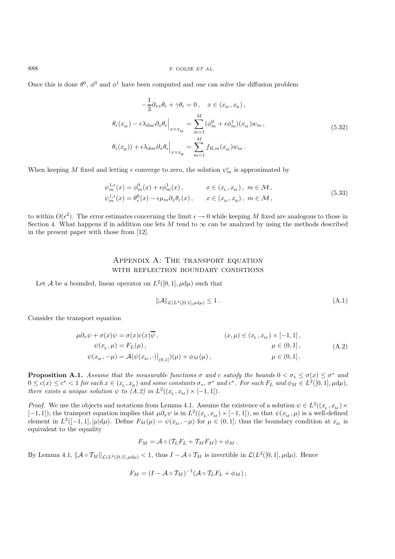Once this is done  $\theta^0$ ,  $\phi^0$  and  $\phi^1$  have been computed and one can solve the diffusion problem

$$
-\frac{1}{3}\partial_{xx}\theta_{\epsilon} + \gamma\theta_{\epsilon} = 0, \quad x \in (x_M, x_R),
$$
  

$$
\theta_{\epsilon}(x_M) - \epsilon \lambda_{\text{disc}}\partial_x\theta_{\epsilon}\Big|_{x=x_M} = \sum_{m=1}^M (\phi_m^0 + \epsilon \phi_m^1)(x_M)w_m,
$$
  

$$
\theta_{\epsilon}(x_R)) + \epsilon \lambda_{\text{disc}}\partial_x\theta_{\epsilon}\Big|_{x=x_R} = \sum_{m=1}^M f_{R,m}(x_M)w_m.
$$
 (5.32)

When keeping M fixed and letting  $\epsilon$  converge to zero, the solution  $\psi_m^{\epsilon}$  is approximated by

$$
\psi_m^{1,\epsilon}(x) = \phi_m^0(x) + \epsilon \phi_m^1(x), \qquad x \in (x_L, x_M), \ m \in \mathcal{M},
$$
  

$$
\psi_m^{1,\epsilon}(x) = \theta_\epsilon^0(x) - \epsilon \mu_m \partial_x \theta_\epsilon(x), \qquad x \in (x_M, x_R), \ m \in \mathcal{M},
$$
\n(5.33)

to within  $O(\epsilon^2)$ . The error estimates concerning the limit  $\epsilon \to 0$  while keeping M fixed are analogous to those in Section 4. What happens if in addition one lets M tend to  $\infty$  can be analyzed by using the methods described in the present paper with those from [12].

## APPENDIX A: THE TRANSPORT EQUATION WITH REFLECTION BOUNDARY CONDITIONS

Let A be a bounded, linear operator on  $L^2([0,1], \mu d\mu)$  such that

$$
\|\mathcal{A}\|_{\mathcal{L}(L^2([0,1],\mu d\mu)} \le 1.
$$
\n(A.1)

Consider the transport equation

$$
\mu \partial_x \psi + \sigma(x) \psi = \sigma(x) c(x) \overline{\psi},
$$
  
\n
$$
\psi(x_L, \mu) = F_L(\mu),
$$
  
\n
$$
\psi(x_M, -\mu) = A(\psi(x_M, \cdot)|_{(0,1]})(\mu) + \phi_M(\mu),
$$
  
\n
$$
\mu \in (0, 1],
$$
  
\n
$$
\mu \in (0, 1].
$$
  
\n(A.2)

**Proposition A.1.** *Assume that the measurable functions*  $\sigma$  *and* c *satisfy the bounds*  $0 < \sigma_* \leq \sigma(x) \leq \sigma^*$  *and*  $0 \leq c(x) \leq c^* < 1$  *for each*  $x \in (x_L, x_R)$  *and some constants*  $\sigma_*$ ,  $\sigma^*$  *and*  $c^*$ *. For each*  $F_L$  *and*  $\phi_M \in L^2([0, 1], \mu d\mu)$ , *there exists a unique solution*  $\psi$  *to (A.2) in*  $L^2((x_L, x_M) \times [-1, 1])$ *.* 

*Proof.* We use the objects and notations from Lemma 4.1. Assume the existence of a solution  $\psi \in L^2((x_L, x_M) \times$  $[-1, 1]$ ; the transport equation implies that  $\mu \partial_x \psi$  is in  $L^2((x_L, x_M) \times [-1, 1])$ , so that  $\psi(x_M, \mu)$  is a well-defined<br>element in  $L^2([-1, 1], |\mu|d\mu)$ . Define  $F_{\mathcal{M}}(\mu) = \psi(x - \mu)$  for  $\mu \in (0, 1]$ ; thus the boundary cond element in  $L^2([-1, 1], |\mu| d\mu)$ . Define  $F_M(\mu) = \psi(x_M, -\mu)$  for  $\mu \in (0, 1]$ ; thus the boundary condition at  $x_M$  is equivalent to the equality

$$
F_M = \mathcal{A} \circ (\mathcal{T}_L F_L + \mathcal{T}_M F_M) + \phi_M.
$$

By Lemma 4.1,  $\|\mathcal{A} \circ \mathcal{T}_{M}\|_{\mathcal{L}(L^{2}([0,1],\mu d\mu)} < 1$ , thus  $I - \mathcal{A} \circ \mathcal{T}_{M}$  is invertible in  $\mathcal{L}(L^{2}([0,1],\mu d\mu)$ . Hence

$$
F_M = (I - A \circ T_M)^{-1} (A \circ T_L F_L + \phi_M);
$$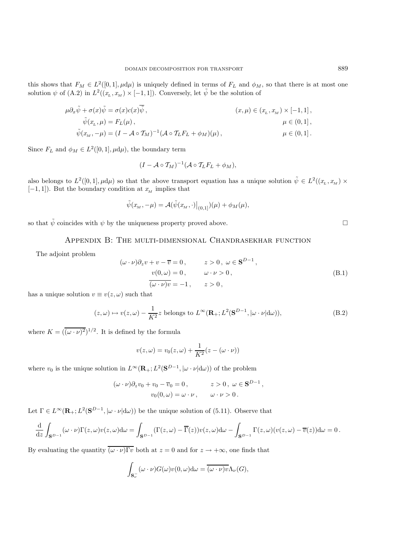this shows that  $F_M \in L^2([0,1], \mu d\mu)$  is uniquely defined in terms of  $F_L$  and  $\phi_M$ , so that there is at most one<br>solution  $\phi$  of  $(\Lambda, 2)$  in  $L^2((x-x_0) \times [-1, 1])$ . Convergely let  $\tilde{\phi}$  be the solution of solution  $\psi$  of (A.2) in  $L^2((x_L, x_M) \times [-1, 1])$ . Conversely, let  $\tilde{\psi}$  be the solution of

$$
\mu \partial_x \tilde{\psi} + \sigma(x) \tilde{\psi} = \sigma(x) c(x) \tilde{\psi},
$$
  
\n
$$
\tilde{\psi}(x_L, \mu) = F_L(\mu),
$$
  
\n
$$
\tilde{\psi}(x_M, -\mu) = (I - A \circ \mathcal{T}_M)^{-1} (A \circ \mathcal{T}_L F_L + \phi_M)(\mu),
$$
  
\n
$$
\mu \in (0, 1],
$$
  
\n
$$
\mu \in (0, 1].
$$

Since  $F_L$  and  $\phi_M \in L^2([0,1], \mu d\mu)$ , the boundary term

$$
(I - A \circ T_M)^{-1} (A \circ T_L F_L + \phi_M),
$$

also belongs to  $L^2([0,1], \mu d\mu)$  so that the above transport equation has a unique solution  $\tilde{\psi} \in L^2((x_L, x_M) \times$  $[-1, 1]$ ). But the boundary condition at  $x_M$  implies that

$$
\tilde{\psi}(x_M, -\mu) = \mathcal{A}(\tilde{\psi}(x_M, \cdot)|_{(0,1]}) (\mu) + \phi_M(\mu),
$$

so that  $\tilde{\psi}$  coincides with  $\psi$  by the uniqueness property proved above.

Appendix B: The multi-dimensional Chandrasekhar function

The adjoint problem

$$
(\omega \cdot \nu)\partial_z v + v - \overline{v} = 0, \qquad z > 0, \ \omega \in \mathbf{S}^{D-1},
$$
  
\n
$$
\frac{v(0, \omega) = 0, \qquad \omega \cdot \nu > 0, \qquad (\text{B.1})
$$
  
\n
$$
\overline{(\omega \cdot \nu)v} = -1, \qquad z > 0,
$$

has a unique solution  $v \equiv v(z, \omega)$  such that

$$
(z,\omega) \mapsto v(z,\omega) - \frac{1}{K^2} z \text{ belongs to } L^{\infty}(\mathbf{R}_+; L^2(\mathbf{S}^{D-1}, |\omega \cdot \nu| d\omega)),
$$
 (B.2)

where  $K = (\overline{(\omega \cdot \nu)^2})^{1/2}$ . It is defined by the formula

$$
v(z, \omega) = v_0(z, \omega) + \frac{1}{K^2}(z - (\omega \cdot \nu))
$$

where  $v_0$  is the unique solution in  $L^{\infty}(\mathbf{R}_+; L^2(\mathbf{S}^{D-1}, |\omega \cdot \nu| d\omega))$  of the problem

$$
(\omega \cdot \nu)\partial_z v_0 + v_0 - \overline{v}_0 = 0, \qquad z > 0, \ \omega \in \mathbf{S}^{D-1},
$$
  

$$
v_0(0, \omega) = \omega \cdot \nu, \qquad \omega \cdot \nu > 0.
$$

Let  $\Gamma \in L^{\infty}(\mathbf{R}_+; L^2(\mathbf{S}^{D-1}, |\omega \cdot \nu| d\omega))$  be the unique solution of (5.11). Observe that

$$
\frac{\mathrm{d}}{\mathrm{d}z} \int_{\mathbf{S}^{D-1}} (\omega \cdot \nu) \Gamma(z, \omega) v(z, \omega) \mathrm{d}\omega = \int_{\mathbf{S}^{D-1}} (\Gamma(z, \omega) - \overline{\Gamma}(z)) v(z, \omega) \mathrm{d}\omega - \int_{\mathbf{S}^{D-1}} \Gamma(z, \omega) (v(z, \omega) - \overline{v}(z)) \mathrm{d}\omega = 0.
$$

By evaluating the quantity  $\overline{(\omega \cdot \nu)}\overline{\Gamma v}$  both at  $z = 0$  and for  $z \to +\infty$ , one finds that

$$
\int_{\mathbf{S}_\nu^-} (\omega \cdot \nu) G(\omega) v(0, \omega) d\omega = \overline{(\omega \cdot \nu) v \Lambda_\nu(G)},
$$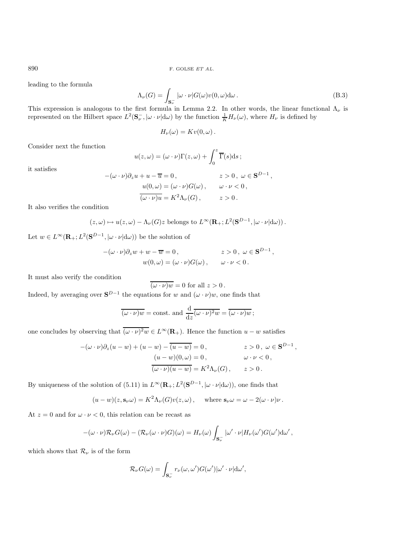leading to the formula

$$
\Lambda_{\nu}(G) = \int_{\mathbf{S}_{\nu}^{-}} |\omega \cdot \nu| G(\omega) v(0, \omega) d\omega.
$$
\n(B.3)

This expression is analogous to the first formula in Lemma 2.2. In other words, the linear functional  $\Lambda_{\nu}$  is represented on the Hilbert space  $L^2(\mathbf{S}_\nu^-,\vert \omega\cdot\nu\vert d\omega)$  by the function  $\frac{1}{K}H_\nu(\omega)$ , where  $H_\nu$  is defined by

$$
H_{\nu}(\omega)=Kv(0,\omega).
$$

Consider next the function

$$
u(z,\omega) = (\omega \cdot \nu)\Gamma(z,\omega) + \int_0^z \overline{\Gamma}(s)ds ;
$$

it satisfies

$$
-(\omega \cdot \nu)\partial_z u + u - \overline{u} = 0, \qquad z > 0, \ \omega \in \mathbf{S}^{D-1},
$$

$$
u(0, \omega) = (\omega \cdot \nu)G(\omega), \qquad \omega \cdot \nu < 0,
$$

$$
\overline{(\omega \cdot \nu)u} = K^2 \Lambda_\nu(G), \qquad z > 0.
$$

It also verifies the condition

$$
(z,\omega) \mapsto u(z,\omega) - \Lambda_{\nu}(G)z
$$
 belongs to  $L^{\infty}(\mathbf{R}_{+};L^{2}(\mathbf{S}^{D-1},|\omega \cdot \nu|d\omega)).$ 

Let  $w \in L^{\infty}(\mathbf{R}_+; L^2(\mathbf{S}^{D-1}, |\omega \cdot \nu| \mathrm{d}\omega))$  be the solution of

$$
-(\omega \cdot \nu)\partial_z w + w - \overline{w} = 0, \qquad z > 0, \ \omega \in \mathbf{S}^{D-1},
$$
  

$$
w(0, \omega) = (\omega \cdot \nu)G(\omega), \qquad \omega \cdot \nu < 0.
$$

It must also verify the condition

$$
\overline{(\omega \cdot \nu)w} = 0 \text{ for all } z > 0.
$$

Indeed, by averaging over  $S^{D-1}$  the equations for w and  $(\omega \cdot \nu)w$ , one finds that

$$
\overline{(\omega \cdot \nu)w} = \text{const.} \text{ and } \frac{\mathrm{d}}{\mathrm{d}z} \overline{(\omega \cdot \nu)^2 w} = \overline{(\omega \cdot \nu)w} ;
$$

one concludes by observing that  $\overline{(\omega \cdot \nu)^2 w} \in L^{\infty}(\mathbf{R}_+)$ . Hence the function  $u - w$  satisfies

$$
-(\omega \cdot \nu)\partial_z(u-w) + (u-w) - \overline{(u-w)} = 0, \qquad z > 0, \ \omega \in \mathbf{S}^{D-1},
$$

$$
\frac{(u-w)(0,\omega) = 0, \qquad \omega \cdot \nu < 0,
$$

$$
\overline{(\omega \cdot \nu)(u-w)} = K^2 \Lambda_\nu(G), \qquad z > 0.
$$

By uniqueness of the solution of (5.11) in  $L^{\infty}(\mathbf{R}_+;L^2(\mathbf{S}^{D-1}, |\omega \cdot \nu| d\omega))$ , one finds that

$$
(u - w)(z, \mathbf{s}_{\nu}\omega) = K^2 \Lambda_{\nu}(G)v(z, \omega)
$$
, where  $\mathbf{s}_{\nu}\omega = \omega - 2(\omega \cdot \nu)\nu$ .

At  $z = 0$  and for  $\omega \cdot \nu < 0$ , this relation can be recast as

$$
-(\omega \cdot \nu)\mathcal{R}_{\nu}G(\omega) - (\mathcal{R}_{\nu}(\omega \cdot \nu)G)(\omega) = H_{\nu}(\omega)\int_{\mathbf{S}_{\nu}^{-}}|\omega' \cdot \nu|H_{\nu}(\omega')G(\omega')d\omega',
$$

which shows that  $\mathcal{R}_{\nu}$  is of the form

$$
\mathcal{R}_{\nu}G(\omega)=\int_{\mathbf{S}_{\nu}^{-}}r_{\nu}(\omega,\omega')G(\omega')|\omega'\cdot\nu|\mathrm{d}\omega',
$$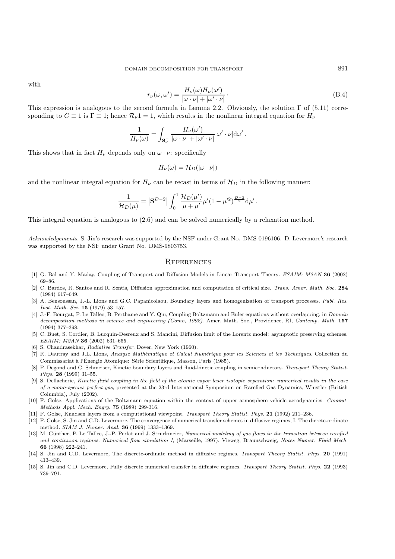with

$$
r_{\nu}(\omega,\omega') = \frac{H_{\nu}(\omega)H_{\nu}(\omega')}{|\omega \cdot \nu| + |\omega' \cdot \nu|}.
$$
\n(B.4)

This expression is analogous to the second formula in Lemma 2.2. Obviously, the solution  $\Gamma$  of (5.11) corresponding to  $G \equiv 1$  is  $\Gamma \equiv 1$ ; hence  $\mathcal{R}_{\nu}1 = 1$ , which results in the nonlinear integral equation for  $H_{\nu}$ 

$$
\frac{1}{H_{\nu}(\omega)} = \int_{\mathbf{S}_{\nu}^{-}} \frac{H_{\nu}(\omega')}{|\omega \cdot \nu| + |\omega' \cdot \nu|} |\omega' \cdot \nu| d\omega'.
$$

This shows that in fact  $H_{\nu}$  depends only on  $\omega \cdot \nu$ : specifically

$$
H_{\nu}(\omega) = \mathcal{H}_D(|\omega \cdot \nu|)
$$

and the nonlinear integral equation for  $H_{\nu}$  can be recast in terms of  $\mathcal{H}_D$  in the following manner:

$$
\frac{1}{\mathcal{H}_D(\mu)} = |\mathbf{S}^{D-2}| \int_0^1 \frac{\mathcal{H}_D(\mu')}{\mu + \mu'} \mu'(1 - \mu'^2)^{\frac{D-3}{2}} d\mu'.
$$

This integral equation is analogous to (2.6) and can be solved numerically by a relaxation method.

Acknowledgements. S. Jin's research was supported by the NSF under Grant No. DMS-0196106. D. Levermore's research was supported by the NSF under Grant No. DMS-9803753.

#### **REFERENCES**

- [1] G. Bal and Y. Maday, Coupling of Transport and Diffusion Models in Linear Transport Theory. ESAIM: M2AN **36** (2002) 69–86.
- [2] C. Bardos, R. Santos and R. Sentis, Diffusion approximation and computation of critical size. Trans. Amer. Math. Soc. **284** (1984) 617–649.
- [3] A. Bensoussan, J.-L. Lions and G.C. Papanicolaou, Boundary layers and homogenization of transport processes. Publ. Res. Inst. Math. Sci. **15** (1979) 53–157.
- [4] J.-F. Bourgat, P. Le Tallec, B. Perthame and Y. Qiu, Coupling Boltzmann and Euler equations without overlapping, in Domain decomposition methods in science and engineering (Como, 1992). Amer. Math. Soc., Providence, RI, Contemp. Math. **157** (1994) 377–398.
- [5] C. Buet, S. Cordier, B. Lucquin-Desreux and S. Mancini, Diffusion limit of the Lorentz model: asymptotic preserving schemes. ESAIM: M2AN **36** (2002) 631–655.
- [6] S. Chandrasekhar, Radiative Transfer. Dover, New York (1960).
- [7] R. Dautray and J.L. Lions, Analyse Mathèmatique et Calcul Numérique pour les Sciences et les Techniques. Collection du Commissariat à l'Énergie Atomique: Série Scientifique, Masson, Paris (1985).
- [8] P. Degond and C. Schmeiser, Kinetic boundary layers and fluid-kinetic coupling in semiconductors. Transport Theory Statist. Phys. **28** (1999) 31–55.
- [9] S. Dellacherie, Kinetic fluid coupling in the field of the atomic vapor laser isotopic separation: numerical results in the case of a mono-species perfect gas, presented at the 23rd International Symposium on Rarefied Gas Dynamics, Whistler (British Columbia), July (2002).
- [10] F. Golse, Applications of the Boltzmann equation within the context of upper atmosphere vehicle aerodynamics. Comput. Methods Appl. Mech. Engrg. **75** (1989) 299-316.
- [11] F. Golse, Knudsen layers from a computational viewpoint. Transport Theory Statist. Phys. **21** (1992) 211–236.
- [12] F. Golse, S. Jin and C.D. Levermore, The convergence of numerical transfer schemes in diffusive regimes, I. The dicrete-ordinate method. SIAM J. Numer. Anal. **36** (1999) 1333–1369.
- [13] M. Günther, P. Le Tallec, J.-P. Perlat and J. Struckmeier, Numerical modeling of gas flows in the transition between rarefied and continuum regimes. Numerical flow simulation I, (Marseille, 1997). Vieweg, Braunschweig, Notes Numer. Fluid Mech. **66** (1998) 222–241.
- [14] S. Jin and C.D. Levermore, The discrete-ordinate method in diffusive regimes. Transport Theory Statist. Phys. **20** (1991) 413–439.
- [15] S. Jin and C.D. Levermore, Fully discrete numerical transfer in diffusive regimes. Transport Theory Statist. Phys. **22** (1993) 739–791.